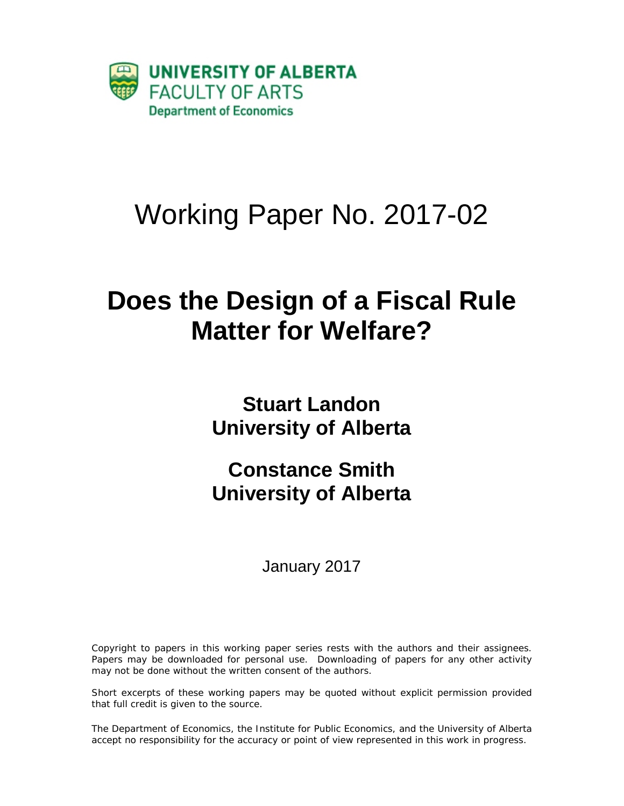

# Working Paper No. 2017-02

# **Does the Design of a Fiscal Rule Matter for Welfare?**

**Stuart Landon University of Alberta**

**Constance Smith University of Alberta**

January 2017

Copyright to papers in this working paper series rests with the authors and their assignees. Papers may be downloaded for personal use. Downloading of papers for any other activity may not be done without the written consent of the authors.

Short excerpts of these working papers may be quoted without explicit permission provided that full credit is given to the source.

The Department of Economics, the Institute for Public Economics, and the University of Alberta accept no responsibility for the accuracy or point of view represented in this work in progress.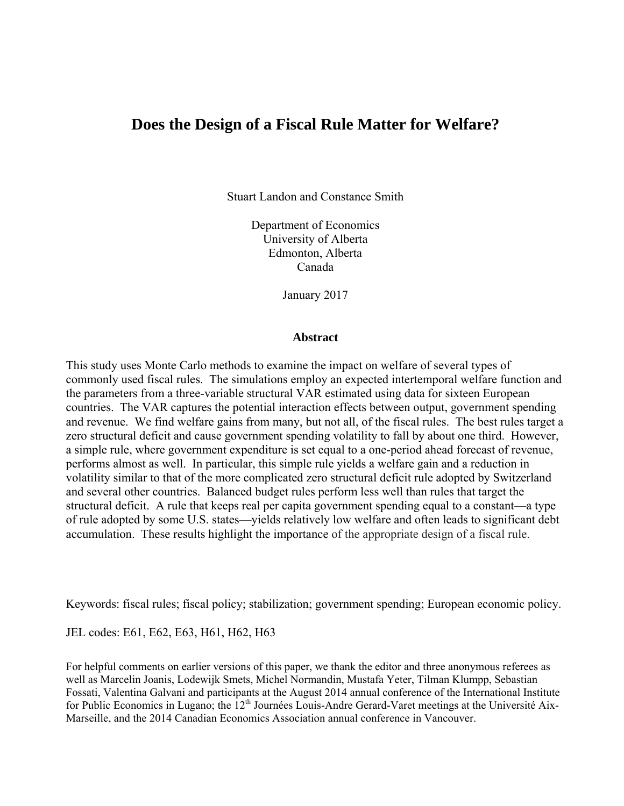### **Does the Design of a Fiscal Rule Matter for Welfare?**

Stuart Landon and Constance Smith

Department of Economics University of Alberta Edmonton, Alberta Canada

January 2017

#### **Abstract**

This study uses Monte Carlo methods to examine the impact on welfare of several types of commonly used fiscal rules. The simulations employ an expected intertemporal welfare function and the parameters from a three-variable structural VAR estimated using data for sixteen European countries. The VAR captures the potential interaction effects between output, government spending and revenue. We find welfare gains from many, but not all, of the fiscal rules. The best rules target a zero structural deficit and cause government spending volatility to fall by about one third. However, a simple rule, where government expenditure is set equal to a one-period ahead forecast of revenue, performs almost as well. In particular, this simple rule yields a welfare gain and a reduction in volatility similar to that of the more complicated zero structural deficit rule adopted by Switzerland and several other countries. Balanced budget rules perform less well than rules that target the structural deficit. A rule that keeps real per capita government spending equal to a constant—a type of rule adopted by some U.S. states—yields relatively low welfare and often leads to significant debt accumulation. These results highlight the importance of the appropriate design of a fiscal rule.

Keywords: fiscal rules; fiscal policy; stabilization; government spending; European economic policy.

JEL codes: E61, E62, E63, H61, H62, H63

For helpful comments on earlier versions of this paper, we thank the editor and three anonymous referees as well as Marcelin Joanis, Lodewijk Smets, Michel Normandin, Mustafa Yeter, Tilman Klumpp, Sebastian Fossati, Valentina Galvani and participants at the August 2014 annual conference of the International Institute for Public Economics in Lugano; the  $12<sup>th</sup>$  Journées Louis-Andre Gerard-Varet meetings at the Université Aix-Marseille, and the 2014 Canadian Economics Association annual conference in Vancouver.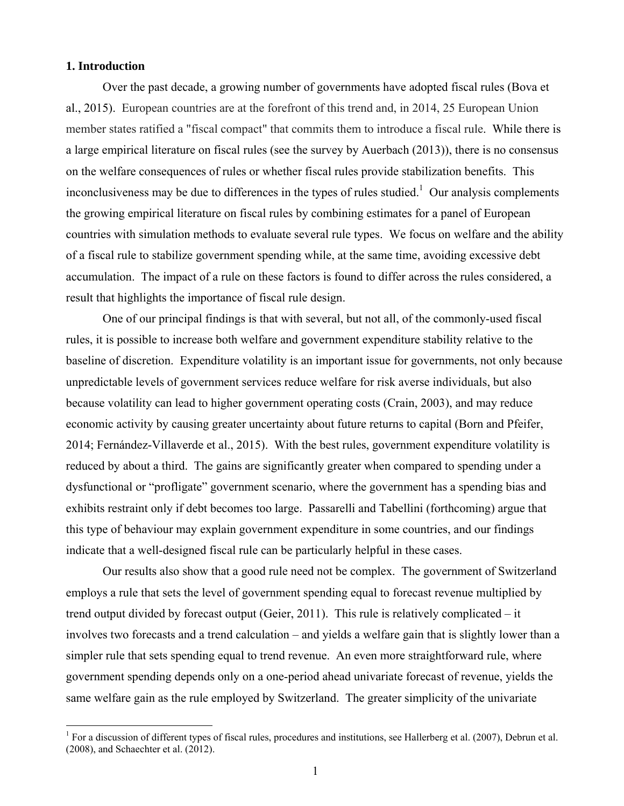#### **1. Introduction**

Over the past decade, a growing number of governments have adopted fiscal rules (Bova et al., 2015). European countries are at the forefront of this trend and, in 2014, 25 European Union member states ratified a "fiscal compact" that commits them to introduce a fiscal rule. While there is a large empirical literature on fiscal rules (see the survey by Auerbach (2013)), there is no consensus on the welfare consequences of rules or whether fiscal rules provide stabilization benefits. This inconclusiveness may be due to differences in the types of rules studied.<sup>1</sup> Our analysis complements the growing empirical literature on fiscal rules by combining estimates for a panel of European countries with simulation methods to evaluate several rule types. We focus on welfare and the ability of a fiscal rule to stabilize government spending while, at the same time, avoiding excessive debt accumulation. The impact of a rule on these factors is found to differ across the rules considered, a result that highlights the importance of fiscal rule design.

One of our principal findings is that with several, but not all, of the commonly-used fiscal rules, it is possible to increase both welfare and government expenditure stability relative to the baseline of discretion. Expenditure volatility is an important issue for governments, not only because unpredictable levels of government services reduce welfare for risk averse individuals, but also because volatility can lead to higher government operating costs (Crain, 2003), and may reduce economic activity by causing greater uncertainty about future returns to capital (Born and Pfeifer, 2014; Fernández-Villaverde et al., 2015). With the best rules, government expenditure volatility is reduced by about a third. The gains are significantly greater when compared to spending under a dysfunctional or "profligate" government scenario, where the government has a spending bias and exhibits restraint only if debt becomes too large. Passarelli and Tabellini (forthcoming) argue that this type of behaviour may explain government expenditure in some countries, and our findings indicate that a well-designed fiscal rule can be particularly helpful in these cases.

Our results also show that a good rule need not be complex. The government of Switzerland employs a rule that sets the level of government spending equal to forecast revenue multiplied by trend output divided by forecast output (Geier, 2011). This rule is relatively complicated – it involves two forecasts and a trend calculation – and yields a welfare gain that is slightly lower than a simpler rule that sets spending equal to trend revenue. An even more straightforward rule, where government spending depends only on a one-period ahead univariate forecast of revenue, yields the same welfare gain as the rule employed by Switzerland. The greater simplicity of the univariate

 1 For a discussion of different types of fiscal rules, procedures and institutions, see Hallerberg et al. (2007), Debrun et al. (2008), and Schaechter et al. (2012).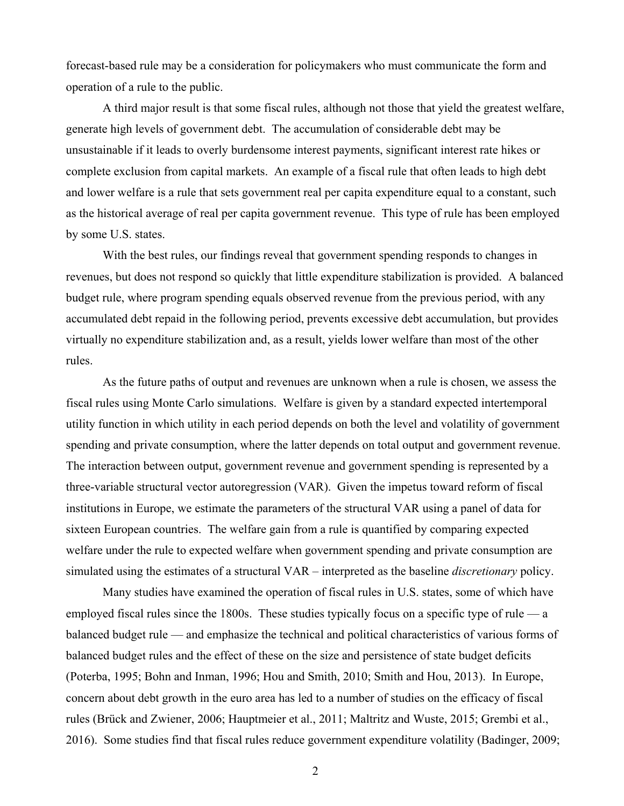forecast-based rule may be a consideration for policymakers who must communicate the form and operation of a rule to the public.

A third major result is that some fiscal rules, although not those that yield the greatest welfare, generate high levels of government debt. The accumulation of considerable debt may be unsustainable if it leads to overly burdensome interest payments, significant interest rate hikes or complete exclusion from capital markets. An example of a fiscal rule that often leads to high debt and lower welfare is a rule that sets government real per capita expenditure equal to a constant, such as the historical average of real per capita government revenue. This type of rule has been employed by some U.S. states.

With the best rules, our findings reveal that government spending responds to changes in revenues, but does not respond so quickly that little expenditure stabilization is provided. A balanced budget rule, where program spending equals observed revenue from the previous period, with any accumulated debt repaid in the following period, prevents excessive debt accumulation, but provides virtually no expenditure stabilization and, as a result, yields lower welfare than most of the other rules.

 As the future paths of output and revenues are unknown when a rule is chosen, we assess the fiscal rules using Monte Carlo simulations. Welfare is given by a standard expected intertemporal utility function in which utility in each period depends on both the level and volatility of government spending and private consumption, where the latter depends on total output and government revenue. The interaction between output, government revenue and government spending is represented by a three-variable structural vector autoregression (VAR). Given the impetus toward reform of fiscal institutions in Europe, we estimate the parameters of the structural VAR using a panel of data for sixteen European countries. The welfare gain from a rule is quantified by comparing expected welfare under the rule to expected welfare when government spending and private consumption are simulated using the estimates of a structural VAR – interpreted as the baseline *discretionary* policy.

Many studies have examined the operation of fiscal rules in U.S. states, some of which have employed fiscal rules since the 1800s. These studies typically focus on a specific type of rule — a balanced budget rule — and emphasize the technical and political characteristics of various forms of balanced budget rules and the effect of these on the size and persistence of state budget deficits (Poterba, 1995; Bohn and Inman, 1996; Hou and Smith, 2010; Smith and Hou, 2013). In Europe, concern about debt growth in the euro area has led to a number of studies on the efficacy of fiscal rules (Brück and Zwiener, 2006; Hauptmeier et al., 2011; Maltritz and Wuste, 2015; Grembi et al., 2016). Some studies find that fiscal rules reduce government expenditure volatility (Badinger, 2009;

2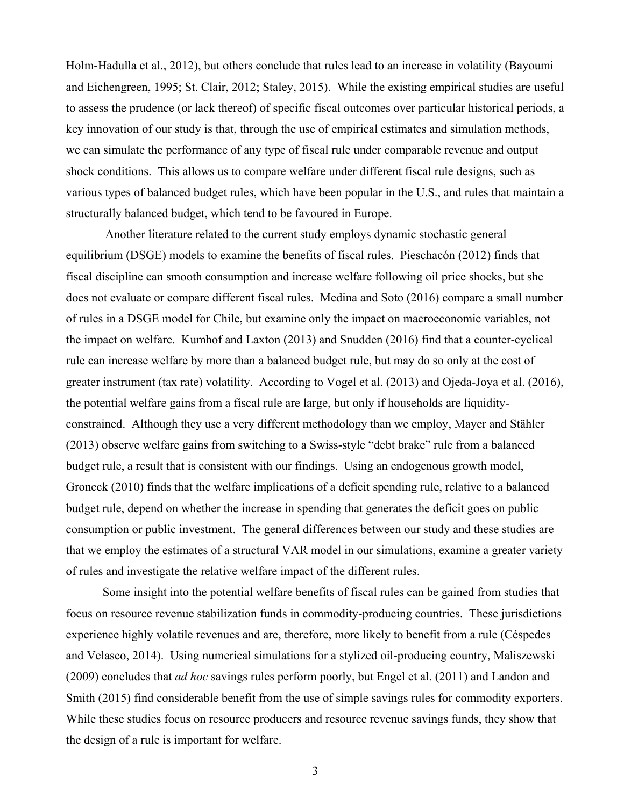Holm-Hadulla et al., 2012), but others conclude that rules lead to an increase in volatility (Bayoumi and Eichengreen, 1995; St. Clair, 2012; Staley, 2015). While the existing empirical studies are useful to assess the prudence (or lack thereof) of specific fiscal outcomes over particular historical periods, a key innovation of our study is that, through the use of empirical estimates and simulation methods, we can simulate the performance of any type of fiscal rule under comparable revenue and output shock conditions. This allows us to compare welfare under different fiscal rule designs, such as various types of balanced budget rules, which have been popular in the U.S., and rules that maintain a structurally balanced budget, which tend to be favoured in Europe.

 Another literature related to the current study employs dynamic stochastic general equilibrium (DSGE) models to examine the benefits of fiscal rules. Pieschacón (2012) finds that fiscal discipline can smooth consumption and increase welfare following oil price shocks, but she does not evaluate or compare different fiscal rules. Medina and Soto (2016) compare a small number of rules in a DSGE model for Chile, but examine only the impact on macroeconomic variables, not the impact on welfare. Kumhof and Laxton (2013) and Snudden (2016) find that a counter-cyclical rule can increase welfare by more than a balanced budget rule, but may do so only at the cost of greater instrument (tax rate) volatility. According to Vogel et al. (2013) and Ojeda-Joya et al. (2016), the potential welfare gains from a fiscal rule are large, but only if households are liquidityconstrained. Although they use a very different methodology than we employ, Mayer and Stähler (2013) observe welfare gains from switching to a Swiss-style "debt brake" rule from a balanced budget rule, a result that is consistent with our findings. Using an endogenous growth model, Groneck (2010) finds that the welfare implications of a deficit spending rule, relative to a balanced budget rule, depend on whether the increase in spending that generates the deficit goes on public consumption or public investment. The general differences between our study and these studies are that we employ the estimates of a structural VAR model in our simulations, examine a greater variety of rules and investigate the relative welfare impact of the different rules.

Some insight into the potential welfare benefits of fiscal rules can be gained from studies that focus on resource revenue stabilization funds in commodity-producing countries. These jurisdictions experience highly volatile revenues and are, therefore, more likely to benefit from a rule (Céspedes and Velasco, 2014). Using numerical simulations for a stylized oil-producing country, Maliszewski (2009) concludes that *ad hoc* savings rules perform poorly, but Engel et al. (2011) and Landon and Smith (2015) find considerable benefit from the use of simple savings rules for commodity exporters. While these studies focus on resource producers and resource revenue savings funds, they show that the design of a rule is important for welfare.

3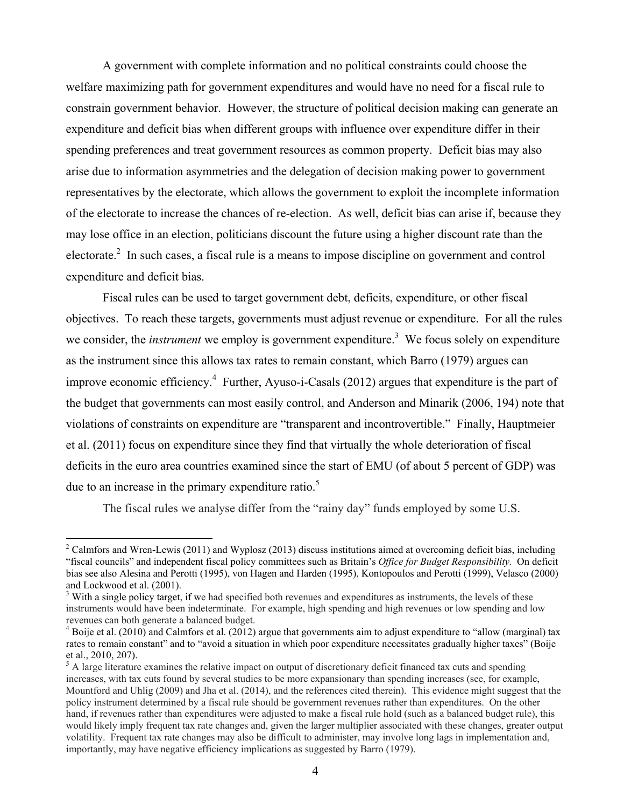A government with complete information and no political constraints could choose the welfare maximizing path for government expenditures and would have no need for a fiscal rule to constrain government behavior. However, the structure of political decision making can generate an expenditure and deficit bias when different groups with influence over expenditure differ in their spending preferences and treat government resources as common property. Deficit bias may also arise due to information asymmetries and the delegation of decision making power to government representatives by the electorate, which allows the government to exploit the incomplete information of the electorate to increase the chances of re-election. As well, deficit bias can arise if, because they may lose office in an election, politicians discount the future using a higher discount rate than the electorate. $2$  In such cases, a fiscal rule is a means to impose discipline on government and control expenditure and deficit bias.

 Fiscal rules can be used to target government debt, deficits, expenditure, or other fiscal objectives. To reach these targets, governments must adjust revenue or expenditure. For all the rules we consider, the *instrument* we employ is government expenditure.<sup>3</sup> We focus solely on expenditure as the instrument since this allows tax rates to remain constant, which Barro (1979) argues can improve economic efficiency.<sup>4</sup> Further, Ayuso-i-Casals (2012) argues that expenditure is the part of the budget that governments can most easily control, and Anderson and Minarik (2006, 194) note that violations of constraints on expenditure are "transparent and incontrovertible." Finally, Hauptmeier et al. (2011) focus on expenditure since they find that virtually the whole deterioration of fiscal deficits in the euro area countries examined since the start of EMU (of about 5 percent of GDP) was due to an increase in the primary expenditure ratio.<sup>5</sup>

The fiscal rules we analyse differ from the "rainy day" funds employed by some U.S.

 $\overline{a}$ 

 $2^2$  Calmfors and Wren-Lewis (2011) and Wyplosz (2013) discuss institutions aimed at overcoming deficit bias, including "fiscal councils" and independent fiscal policy committees such as Britain's *Office for Budget Responsibility.* On deficit bias see also Alesina and Perotti (1995), von Hagen and Harden (1995), Kontopoulos and Perotti (1999), Velasco (2000) and Lockwood et al. (2001).

<sup>&</sup>lt;sup>3</sup> With a single policy target, if we had specified both revenues and expenditures as instruments, the levels of these instruments would have been indeterminate. For example, high spending and high revenues or low spending and low revenues can both generate a balanced budget.

 $4$  Boije et al. (2010) and Calmfors et al. (2012) argue that governments aim to adjust expenditure to "allow (marginal) tax rates to remain constant" and to "avoid a situation in which poor expenditure necessitates gradually higher taxes" (Boije et al., 2010, 207).

 $5$  A large literature examines the relative impact on output of discretionary deficit financed tax cuts and spending increases, with tax cuts found by several studies to be more expansionary than spending increases (see, for example, Mountford and Uhlig (2009) and Jha et al. (2014), and the references cited therein). This evidence might suggest that the policy instrument determined by a fiscal rule should be government revenues rather than expenditures. On the other hand, if revenues rather than expenditures were adjusted to make a fiscal rule hold (such as a balanced budget rule), this would likely imply frequent tax rate changes and, given the larger multiplier associated with these changes, greater output volatility. Frequent tax rate changes may also be difficult to administer, may involve long lags in implementation and, importantly, may have negative efficiency implications as suggested by Barro (1979).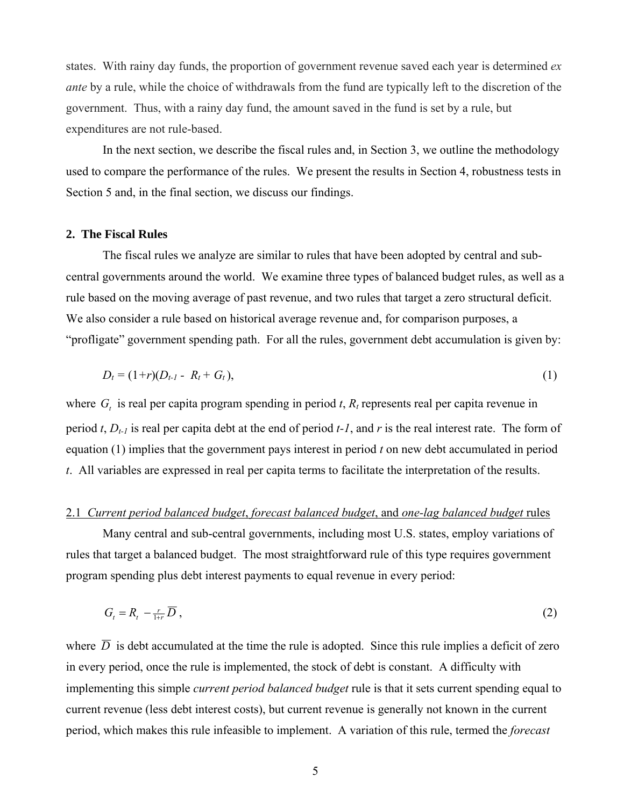states. With rainy day funds, the proportion of government revenue saved each year is determined *ex ante* by a rule, while the choice of withdrawals from the fund are typically left to the discretion of the government. Thus, with a rainy day fund, the amount saved in the fund is set by a rule, but expenditures are not rule-based.

 In the next section, we describe the fiscal rules and, in Section 3, we outline the methodology used to compare the performance of the rules. We present the results in Section 4, robustness tests in Section 5 and, in the final section, we discuss our findings.

#### **2. The Fiscal Rules**

 The fiscal rules we analyze are similar to rules that have been adopted by central and subcentral governments around the world. We examine three types of balanced budget rules, as well as a rule based on the moving average of past revenue, and two rules that target a zero structural deficit. We also consider a rule based on historical average revenue and, for comparison purposes, a "profligate" government spending path. For all the rules, government debt accumulation is given by:

$$
D_t = (1+r)(D_{t-1} - R_t + G_t), \tag{1}
$$

where  $G_t$  is real per capita program spending in period  $t$ ,  $R_t$  represents real per capita revenue in period *t*,  $D_{t-1}$  is real per capita debt at the end of period *t-1*, and *r* is the real interest rate. The form of equation (1) implies that the government pays interest in period *t* on new debt accumulated in period *t*. All variables are expressed in real per capita terms to facilitate the interpretation of the results.

#### 2.1 *Current period balanced budget*, *forecast balanced budget*, and *one-lag balanced budget* rules

 Many central and sub-central governments, including most U.S. states, employ variations of rules that target a balanced budget. The most straightforward rule of this type requires government program spending plus debt interest payments to equal revenue in every period:

$$
G_t = R_t - \frac{r}{1+r} \overline{D} \,, \tag{2}
$$

where  $\overline{D}$  is debt accumulated at the time the rule is adopted. Since this rule implies a deficit of zero in every period, once the rule is implemented, the stock of debt is constant. A difficulty with implementing this simple *current period balanced budget* rule is that it sets current spending equal to current revenue (less debt interest costs), but current revenue is generally not known in the current period, which makes this rule infeasible to implement. A variation of this rule, termed the *forecast*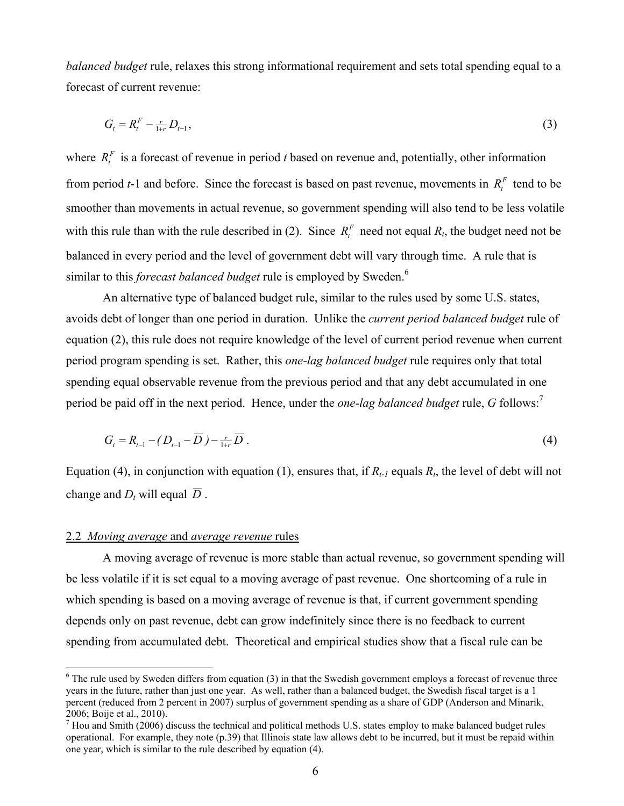*balanced budget* rule, relaxes this strong informational requirement and sets total spending equal to a forecast of current revenue:

$$
G_t = R_t^F - \frac{r}{1+r} D_{t-1},\tag{3}
$$

where  $R_t^F$  is a forecast of revenue in period *t* based on revenue and, potentially, other information from period *t*-1 and before. Since the forecast is based on past revenue, movements in  $R_t^F$  tend to be smoother than movements in actual revenue, so government spending will also tend to be less volatile with this rule than with the rule described in (2). Since  $R_t^F$  need not equal  $R_t$ , the budget need not be balanced in every period and the level of government debt will vary through time. A rule that is similar to this *forecast balanced budget* rule is employed by Sweden.<sup>6</sup>

An alternative type of balanced budget rule, similar to the rules used by some U.S. states, avoids debt of longer than one period in duration. Unlike the *current period balanced budget* rule of equation (2), this rule does not require knowledge of the level of current period revenue when current period program spending is set. Rather, this *one-lag balanced budget* rule requires only that total spending equal observable revenue from the previous period and that any debt accumulated in one period be paid off in the next period. Hence, under the *one-lag balanced budget* rule, *G* follows:<sup>7</sup>

$$
G_t = R_{t-1} - (D_{t-1} - \overline{D}) - \frac{r}{1+r} \overline{D} \tag{4}
$$

Equation (4), in conjunction with equation (1), ensures that, if  $R_{t-1}$  equals  $R_t$ , the level of debt will not change and  $D_t$  will equal  $\overline{D}$ .

#### 2.2 *Moving average* and *average revenue* rules

 $\overline{a}$ 

A moving average of revenue is more stable than actual revenue, so government spending will be less volatile if it is set equal to a moving average of past revenue. One shortcoming of a rule in which spending is based on a moving average of revenue is that, if current government spending depends only on past revenue, debt can grow indefinitely since there is no feedback to current spending from accumulated debt. Theoretical and empirical studies show that a fiscal rule can be

 $6$  The rule used by Sweden differs from equation (3) in that the Swedish government employs a forecast of revenue three years in the future, rather than just one year. As well, rather than a balanced budget, the Swedish fiscal target is a 1 percent (reduced from 2 percent in 2007) surplus of government spending as a share of GDP (Anderson and Minarik, 2006; Boije et al., 2010).

 $<sup>7</sup>$  Hou and Smith (2006) discuss the technical and political methods U.S. states employ to make balanced budget rules</sup> operational. For example, they note (p.39) that Illinois state law allows debt to be incurred, but it must be repaid within one year, which is similar to the rule described by equation (4).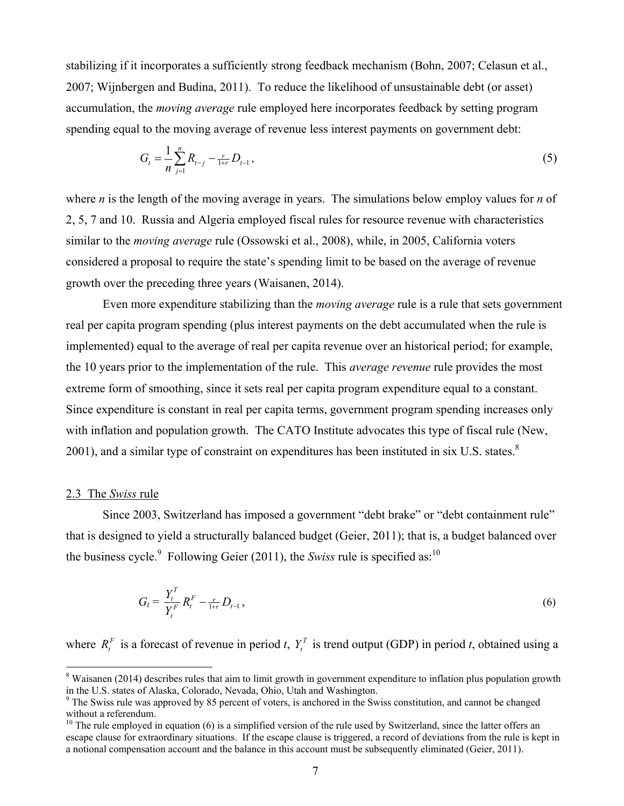stabilizing if it incorporates a sufficiently strong feedback mechanism (Bohn, 2007; Celasun et al., 2007; Wijnbergen and Budina, 2011). To reduce the likelihood of unsustainable debt (or asset) accumulation, the *moving average* rule employed here incorporates feedback by setting program spending equal to the moving average of revenue less interest payments on government debt:

$$
G_t = \frac{1}{n} \sum_{j=1}^n R_{t-j} - \frac{r}{1+r} D_{t-1},
$$
\n(5)

where *n* is the length of the moving average in years. The simulations below employ values for *n* of 2, 5, 7 and 10. Russia and Algeria employed fiscal rules for resource revenue with characteristics similar to the *moving average* rule (Ossowski et al., 2008), while, in 2005, California voters considered a proposal to require the state's spending limit to be based on the average of revenue growth over the preceding three years (Waisanen, 2014).

 Even more expenditure stabilizing than the *moving average* rule is a rule that sets government real per capita program spending (plus interest payments on the debt accumulated when the rule is implemented) equal to the average of real per capita revenue over an historical period; for example, the 10 years prior to the implementation of the rule. This *average revenue* rule provides the most extreme form of smoothing, since it sets real per capita program expenditure equal to a constant. Since expenditure is constant in real per capita terms, government program spending increases only with inflation and population growth. The CATO Institute advocates this type of fiscal rule (New, 2001), and a similar type of constraint on expenditures has been instituted in six U.S. states. $8$ 

#### 2.3 The *Swiss* rule

 $\overline{a}$ 

 Since 2003, Switzerland has imposed a government "debt brake" or "debt containment rule" that is designed to yield a structurally balanced budget (Geier, 2011); that is, a budget balanced over the business cycle.<sup>9</sup> Following Geier (2011), the *Swiss* rule is specified as:<sup>10</sup>

$$
G_t = \frac{Y_t^T}{Y_t^F} R_t^F - \frac{r}{1+r} D_{t-1},
$$
\n(6)

where  $R_t^F$  is a forecast of revenue in period *t*,  $Y_t^T$  is trend output (GDP) in period *t*, obtained using a

<sup>&</sup>lt;sup>8</sup> Waisanen (2014) describes rules that aim to limit growth in government expenditure to inflation plus population growth in the U.S. states of Alaska, Colorado, Nevada, Ohio, Utah and Washington. 9

<sup>&</sup>lt;sup>9</sup> The Swiss rule was approved by 85 percent of voters, is anchored in the Swiss constitution, and cannot be changed without a referendum.

 $10$  The rule employed in equation (6) is a simplified version of the rule used by Switzerland, since the latter offers an escape clause for extraordinary situations. If the escape clause is triggered, a record of deviations from the rule is kept in a notional compensation account and the balance in this account must be subsequently eliminated (Geier, 2011).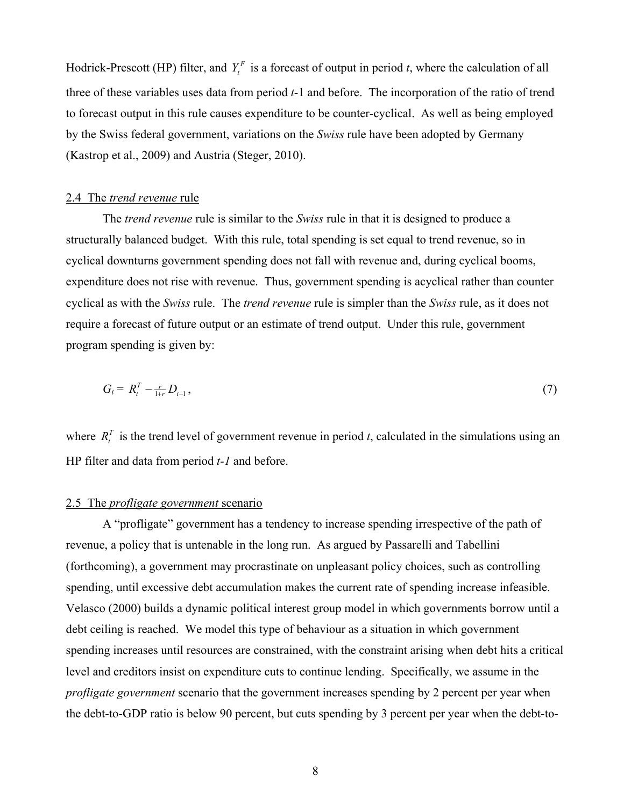Hodrick-Prescott (HP) filter, and  $Y_t^F$  is a forecast of output in period *t*, where the calculation of all three of these variables uses data from period *t*-1 and before. The incorporation of the ratio of trend to forecast output in this rule causes expenditure to be counter-cyclical. As well as being employed by the Swiss federal government, variations on the *Swiss* rule have been adopted by Germany (Kastrop et al., 2009) and Austria (Steger, 2010).

#### 2.4 The *trend revenue* rule

 The *trend revenue* rule is similar to the *Swiss* rule in that it is designed to produce a structurally balanced budget. With this rule, total spending is set equal to trend revenue, so in cyclical downturns government spending does not fall with revenue and, during cyclical booms, expenditure does not rise with revenue. Thus, government spending is acyclical rather than counter cyclical as with the *Swiss* rule. The *trend revenue* rule is simpler than the *Swiss* rule, as it does not require a forecast of future output or an estimate of trend output. Under this rule, government program spending is given by:

$$
G_t = R_t^T - \frac{r}{1+r} D_{t-1}, \tag{7}
$$

where  $R_t^T$  is the trend level of government revenue in period *t*, calculated in the simulations using an HP filter and data from period *t-1* and before.

#### 2.5 The *profligate government* scenario

A "profligate" government has a tendency to increase spending irrespective of the path of revenue, a policy that is untenable in the long run. As argued by Passarelli and Tabellini (forthcoming), a government may procrastinate on unpleasant policy choices, such as controlling spending, until excessive debt accumulation makes the current rate of spending increase infeasible. Velasco (2000) builds a dynamic political interest group model in which governments borrow until a debt ceiling is reached. We model this type of behaviour as a situation in which government spending increases until resources are constrained, with the constraint arising when debt hits a critical level and creditors insist on expenditure cuts to continue lending. Specifically, we assume in the *profligate government* scenario that the government increases spending by 2 percent per year when the debt-to-GDP ratio is below 90 percent, but cuts spending by 3 percent per year when the debt-to-

8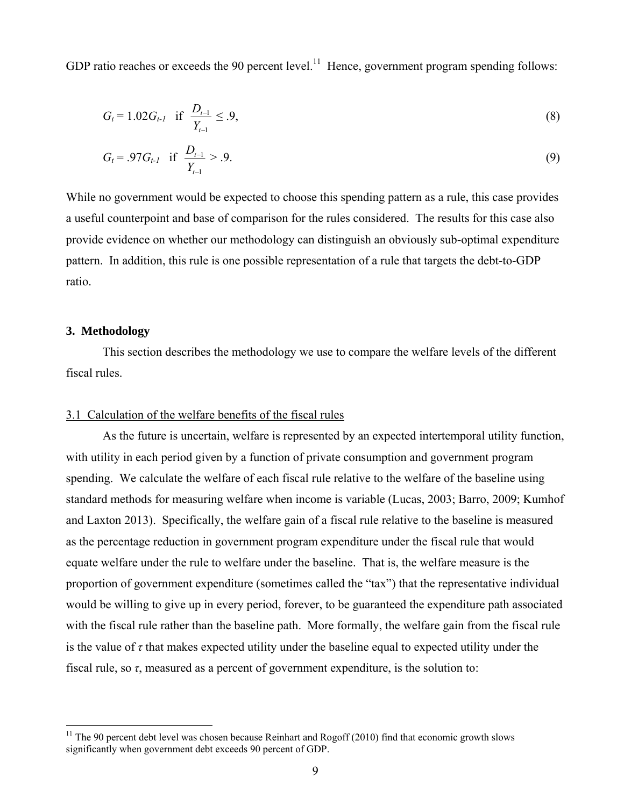GDP ratio reaches or exceeds the 90 percent level.<sup>11</sup> Hence, government program spending follows:

$$
G_t = 1.02 G_{t-1} \text{ if } \frac{D_{t-1}}{Y_{t-1}} \leq .9,
$$
\n(8)

$$
G_t = .97 G_{t-1} \text{ if } \frac{D_{t-1}}{Y_{t-1}} > .9. \tag{9}
$$

While no government would be expected to choose this spending pattern as a rule, this case provides a useful counterpoint and base of comparison for the rules considered. The results for this case also provide evidence on whether our methodology can distinguish an obviously sub-optimal expenditure pattern. In addition, this rule is one possible representation of a rule that targets the debt-to-GDP ratio.

#### **3. Methodology**

 $\overline{a}$ 

 This section describes the methodology we use to compare the welfare levels of the different fiscal rules.

#### 3.1 Calculation of the welfare benefits of the fiscal rules

As the future is uncertain, welfare is represented by an expected intertemporal utility function, with utility in each period given by a function of private consumption and government program spending. We calculate the welfare of each fiscal rule relative to the welfare of the baseline using standard methods for measuring welfare when income is variable (Lucas, 2003; Barro, 2009; Kumhof and Laxton 2013). Specifically, the welfare gain of a fiscal rule relative to the baseline is measured as the percentage reduction in government program expenditure under the fiscal rule that would equate welfare under the rule to welfare under the baseline. That is, the welfare measure is the proportion of government expenditure (sometimes called the "tax") that the representative individual would be willing to give up in every period, forever, to be guaranteed the expenditure path associated with the fiscal rule rather than the baseline path. More formally, the welfare gain from the fiscal rule is the value of  $\tau$  that makes expected utility under the baseline equal to expected utility under the fiscal rule, so  $\tau$ , measured as a percent of government expenditure, is the solution to:

 $11$  The 90 percent debt level was chosen because Reinhart and Rogoff (2010) find that economic growth slows significantly when government debt exceeds 90 percent of GDP.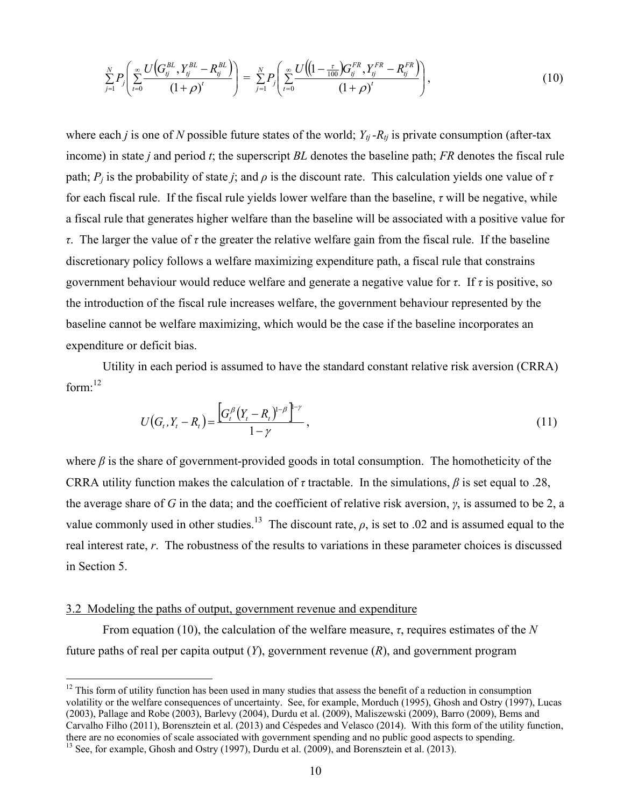$$
\sum_{j=1}^{N} P_j \left( \sum_{t=0}^{\infty} \frac{U \left( G_{ij}^{BL}, Y_{ij}^{BL} - R_{ij}^{BL} \right)}{(1+\rho)^t} \right) = \sum_{j=1}^{N} P_j \left( \sum_{t=0}^{\infty} \frac{U \left( \left( 1 - \frac{\tau}{100} \right) G_{ij}^{FR}, Y_{ij}^{FR} - R_{ij}^{FR} \right)}{(1+\rho)^t} \right), \tag{10}
$$

where each *j* is one of *N* possible future states of the world;  $Y_{ti}$  - $R_{ti}$  is private consumption (after-tax income) in state *j* and period *t*; the superscript *BL* denotes the baseline path; *FR* denotes the fiscal rule path;  $P_i$  is the probability of state *j*; and  $\rho$  is the discount rate. This calculation yields one value of  $\tau$ for each fiscal rule. If the fiscal rule yields lower welfare than the baseline, *τ* will be negative, while a fiscal rule that generates higher welfare than the baseline will be associated with a positive value for *τ*. The larger the value of *τ* the greater the relative welfare gain from the fiscal rule. If the baseline discretionary policy follows a welfare maximizing expenditure path, a fiscal rule that constrains government behaviour would reduce welfare and generate a negative value for *τ*. If *τ* is positive, so the introduction of the fiscal rule increases welfare, the government behaviour represented by the baseline cannot be welfare maximizing, which would be the case if the baseline incorporates an expenditure or deficit bias.

Utility in each period is assumed to have the standard constant relative risk aversion (CRRA)  $form<sup>.12</sup>$ 

$$
U(G_t, Y_t - R_t) = \frac{\left[G_t^{\beta} (Y_t - R_t)^{1-\beta}\right]^{-\gamma}}{1-\gamma},
$$
\n(11)

where  $\beta$  is the share of government-provided goods in total consumption. The homotheticity of the CRRA utility function makes the calculation of  $\tau$  tractable. In the simulations,  $\beta$  is set equal to .28, the average share of *G* in the data; and the coefficient of relative risk aversion, *γ*, is assumed to be 2, a value commonly used in other studies.<sup>13</sup> The discount rate,  $\rho$ , is set to .02 and is assumed equal to the real interest rate, *r*. The robustness of the results to variations in these parameter choices is discussed in Section 5.

#### 3.2 Modeling the paths of output, government revenue and expenditure

 $\overline{a}$ 

 From equation (10), the calculation of the welfare measure, *τ*, requires estimates of the *N* future paths of real per capita output (*Y*), government revenue (*R*), and government program

 $12$  This form of utility function has been used in many studies that assess the benefit of a reduction in consumption volatility or the welfare consequences of uncertainty. See, for example, Morduch (1995), Ghosh and Ostry (1997), Lucas (2003), Pallage and Robe (2003), Barlevy (2004), Durdu et al. (2009), Maliszewski (2009), Barro (2009), Bems and Carvalho Filho (2011), Borensztein et al. (2013) and Céspedes and Velasco (2014). With this form of the utility function, there are no economies of scale associated with government spending and no public good aspects to spending. <sup>13</sup> See, for example, Ghosh and Ostry (1997), Durdu et al. (2009), and Borensztein et al. (2013).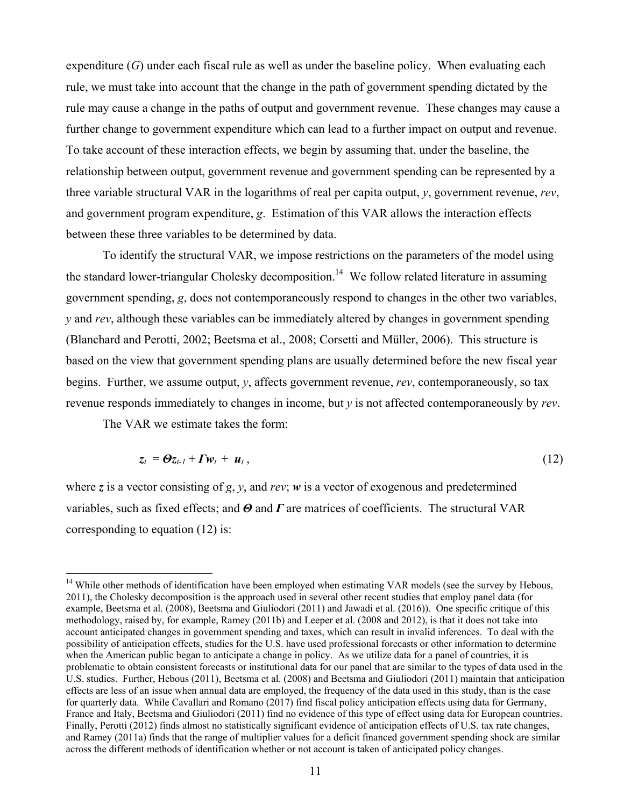expenditure  $(G)$  under each fiscal rule as well as under the baseline policy. When evaluating each rule, we must take into account that the change in the path of government spending dictated by the rule may cause a change in the paths of output and government revenue. These changes may cause a further change to government expenditure which can lead to a further impact on output and revenue. To take account of these interaction effects, we begin by assuming that, under the baseline, the relationship between output, government revenue and government spending can be represented by a three variable structural VAR in the logarithms of real per capita output, *y*, government revenue, *rev*, and government program expenditure, *g*. Estimation of this VAR allows the interaction effects between these three variables to be determined by data.

 To identify the structural VAR, we impose restrictions on the parameters of the model using the standard lower-triangular Cholesky decomposition.<sup>14</sup> We follow related literature in assuming government spending, *g*, does not contemporaneously respond to changes in the other two variables, *y* and *rev*, although these variables can be immediately altered by changes in government spending (Blanchard and Perotti, 2002; Beetsma et al., 2008; Corsetti and Müller, 2006). This structure is based on the view that government spending plans are usually determined before the new fiscal year begins. Further, we assume output, *y*, affects government revenue, *rev*, contemporaneously, so tax revenue responds immediately to changes in income, but *y* is not affected contemporaneously by *rev*.

The VAR we estimate takes the form:

 $\overline{a}$ 

$$
z_t = \boldsymbol{\Theta} z_{t-1} + \boldsymbol{\Gamma} \boldsymbol{w}_t + \boldsymbol{u}_t, \qquad (12)
$$

where *z* is a vector consisting of *g*, *y*, and *rev*; *w* is a vector of exogenous and predetermined variables, such as fixed effects; and *Θ* and *Γ* are matrices of coefficients. The structural VAR corresponding to equation (12) is:

<sup>&</sup>lt;sup>14</sup> While other methods of identification have been employed when estimating VAR models (see the survey by Hebous, 2011), the Cholesky decomposition is the approach used in several other recent studies that employ panel data (for example, Beetsma et al. (2008), Beetsma and Giuliodori (2011) and Jawadi et al. (2016)). One specific critique of this methodology, raised by, for example, Ramey (2011b) and Leeper et al. (2008 and 2012), is that it does not take into account anticipated changes in government spending and taxes, which can result in invalid inferences. To deal with the possibility of anticipation effects, studies for the U.S. have used professional forecasts or other information to determine when the American public began to anticipate a change in policy. As we utilize data for a panel of countries, it is problematic to obtain consistent forecasts or institutional data for our panel that are similar to the types of data used in the U.S. studies. Further, Hebous (2011), Beetsma et al. (2008) and Beetsma and Giuliodori (2011) maintain that anticipation effects are less of an issue when annual data are employed, the frequency of the data used in this study, than is the case for quarterly data. While Cavallari and Romano (2017) find fiscal policy anticipation effects using data for Germany, France and Italy, Beetsma and Giuliodori (2011) find no evidence of this type of effect using data for European countries. Finally, Perotti (2012) finds almost no statistically significant evidence of anticipation effects of U.S. tax rate changes, and Ramey (2011a) finds that the range of multiplier values for a deficit financed government spending shock are similar across the different methods of identification whether or not account is taken of anticipated policy changes.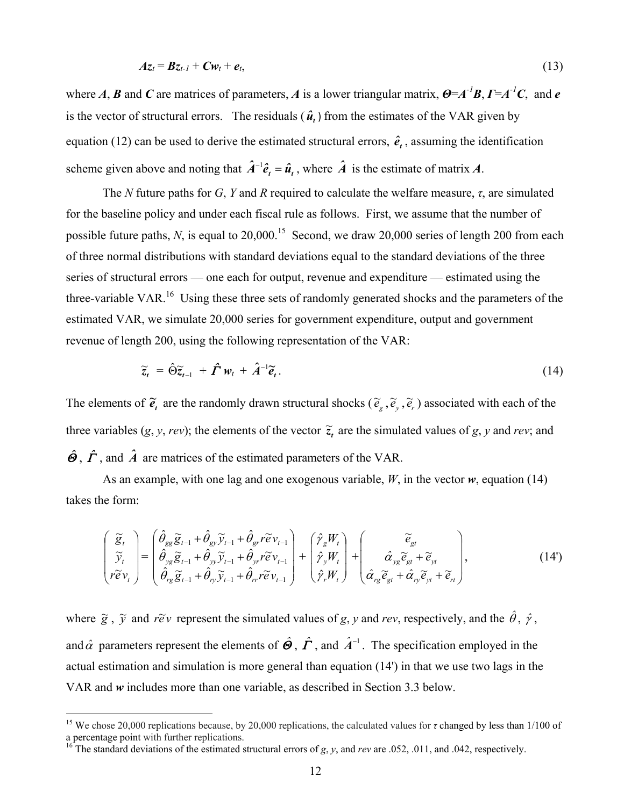$$
A z_t = B z_{t-1} + C w_t + e_t, \qquad (13)
$$

where *A*, *B* and *C* are matrices of parameters, *A* is a lower triangular matrix, *Θ*=*A-1B*, *Γ*=*A-1C*, and *e* is the vector of structural errors. The residuals  $(\hat{u}_t)$  from the estimates of the VAR given by equation (12) can be used to derive the estimated structural errors,  $\hat{e}$ , assuming the identification scheme given above and noting that  $\hat{A}^{-1}\hat{e}_t = \hat{u}_t$ , where  $\hat{A}$  is the estimate of matrix *A*.

 The *N* future paths for *G*, *Y* and *R* required to calculate the welfare measure, *τ*, are simulated for the baseline policy and under each fiscal rule as follows. First, we assume that the number of possible future paths, *N*, is equal to 20,000.<sup>15</sup> Second, we draw 20,000 series of length 200 from each of three normal distributions with standard deviations equal to the standard deviations of the three series of structural errors — one each for output, revenue and expenditure — estimated using the three-variable VAR.<sup>16</sup> Using these three sets of randomly generated shocks and the parameters of the estimated VAR, we simulate 20,000 series for government expenditure, output and government revenue of length 200, using the following representation of the VAR:

$$
\widetilde{z}_t = \widehat{\Theta} \widetilde{z}_{t-1} + \widehat{\boldsymbol{\Gamma}} \boldsymbol{w}_t + \widehat{\boldsymbol{A}}^{-1} \widetilde{\boldsymbol{e}}_t. \tag{14}
$$

The elements of  $\tilde{e}_t$  are the randomly drawn structural shocks ( $\tilde{e}_s$ ,  $\tilde{e}_r$ ,  $\tilde{e}_r$ ) associated with each of the three variables  $(g, y, rev)$ ; the elements of the vector  $\tilde{z}_t$  are the simulated values of *g*, *y* and *rev*; and  $\hat{\theta}$ ,  $\hat{\tau}$ , and  $\hat{A}$  are matrices of the estimated parameters of the VAR.

As an example, with one lag and one exogenous variable, *W*, in the vector *w*, equation (14) takes the form:

$$
\begin{pmatrix}\n\widetilde{g}_{t} \\
\widetilde{y}_{t} \\
\widetilde{r}\widetilde{e}v_{t}\n\end{pmatrix} = \begin{pmatrix}\n\hat{\theta}_{gg}\widetilde{g}_{t-1} + \hat{\theta}_{gy}\widetilde{y}_{t-1} + \hat{\theta}_{gr}\widetilde{r}\widetilde{e}v_{t-1} \\
\hat{\theta}_{gg}\widetilde{g}_{t-1} + \hat{\theta}_{yy}\widetilde{y}_{t-1} + \hat{\theta}_{yr}\widetilde{r}\widetilde{e}v_{t-1} \\
\hat{\theta}_{rg}\widetilde{g}_{t-1} + \hat{\theta}_{ry}\widetilde{y}_{t-1} + \hat{\theta}_{rr}\widetilde{r}\widetilde{e}v_{t-1}\n\end{pmatrix} + \begin{pmatrix}\n\hat{r}_{g}W_{t} \\
\hat{r}_{y}W_{t} \\
\hat{r}_{r}W_{t}\n\end{pmatrix} + \begin{pmatrix}\n\widetilde{e}_{gt} \\
\hat{\alpha}_{yg}\widetilde{e}_{gt} + \widetilde{e}_{yt} \\
\hat{\alpha}_{vg}\widetilde{e}_{gt} + \widetilde{e}_{yt} \\
\hat{\alpha}_{rg}\widetilde{e}_{gt} + \hat{\alpha}_{ry}\widetilde{e}_{yt} + \widetilde{e}_{rt}\n\end{pmatrix},
$$
\n(14')

where  $\tilde{g}$ ,  $\tilde{y}$  and  $\tilde{r}$  *rev* represent the simulated values of *g*, *y* and *rev*, respectively, and the  $\hat{\theta}$ ,  $\hat{\gamma}$ , and  $\hat{\alpha}$  parameters represent the elements of  $\hat{\Theta}$ ,  $\hat{\Gamma}$ , and  $\hat{A}^{-1}$ . The specification employed in the actual estimation and simulation is more general than equation (14') in that we use two lags in the VAR and *w* includes more than one variable, as described in Section 3.3 below.

 $\overline{a}$ 

<sup>&</sup>lt;sup>15</sup> We chose 20,000 replications because, by 20,000 replications, the calculated values for  $\tau$  changed by less than 1/100 of a percentage point with further replications. 16 The standard deviations of the estimated structural errors of *g*, *y*, and *rev* are .052, .011, and .042, respectively.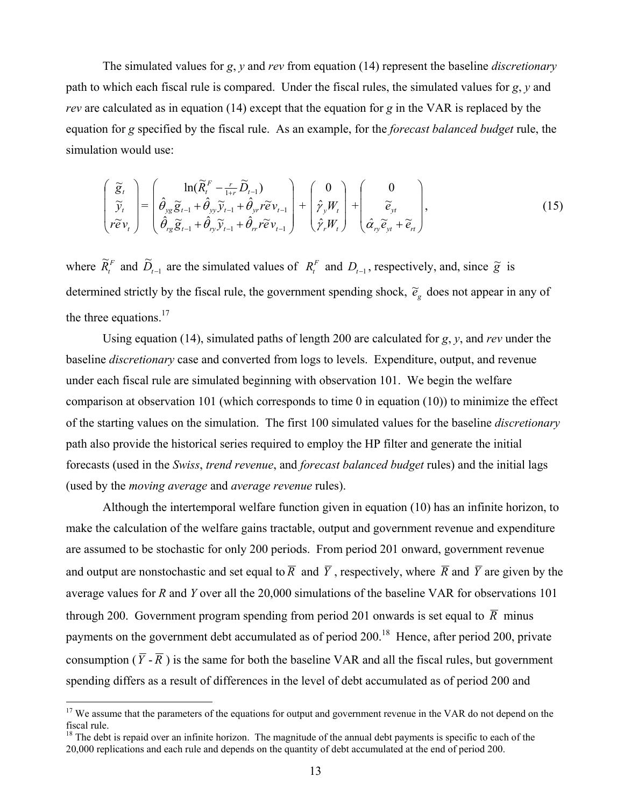The simulated values for *g*, *y* and *rev* from equation (14) represent the baseline *discretionary* path to which each fiscal rule is compared. Under the fiscal rules, the simulated values for *g*, *y* and *rev* are calculated as in equation (14) except that the equation for *g* in the VAR is replaced by the equation for *g* specified by the fiscal rule. As an example, for the *forecast balanced budget* rule, the simulation would use:

$$
\begin{pmatrix}\n\widetilde{g}_{t} \\
\widetilde{y}_{t} \\
\widetilde{r}\widetilde{e}v_{t}\n\end{pmatrix} = \begin{pmatrix}\n\ln(\widetilde{R}_{t}^{F} - \frac{r}{1+r}\widetilde{D}_{t-1}) \\
\hat{\theta}_{yg}\widetilde{g}_{t-1} + \hat{\theta}_{yy}\widetilde{v}_{t-1} + \hat{\theta}_{yr}\widetilde{r}\widetilde{e}v_{t-1} \\
\hat{\theta}_{rg}\widetilde{g}_{t-1} + \hat{\theta}_{ry}\widetilde{v}_{t-1} + \hat{\theta}_{rr}\widetilde{r}\widetilde{e}v_{t-1}\n\end{pmatrix} + \begin{pmatrix}\n0 \\
\hat{r}_{y}W_{t} \\
\hat{r}_{r}W_{t}\n\end{pmatrix} + \begin{pmatrix}\n0 \\
\widetilde{e}_{yt} \\
\hat{\alpha}_{ry}\widetilde{e}_{yt} + \widetilde{e}_{rt}\n\end{pmatrix},
$$
\n(15)

where  $\widetilde{R}_t^F$  and  $\widetilde{D}_{t-1}$  are the simulated values of  $R_t^F$  and  $D_{t-1}$ , respectively, and, since  $\widetilde{g}$  is determined strictly by the fiscal rule, the government spending shock,  $\tilde{e}_g$  does not appear in any of the three equations. $17$ 

 Using equation (14), simulated paths of length 200 are calculated for *g*, *y*, and *rev* under the baseline *discretionary* case and converted from logs to levels. Expenditure, output, and revenue under each fiscal rule are simulated beginning with observation 101. We begin the welfare comparison at observation 101 (which corresponds to time 0 in equation (10)) to minimize the effect of the starting values on the simulation. The first 100 simulated values for the baseline *discretionary* path also provide the historical series required to employ the HP filter and generate the initial forecasts (used in the *Swiss*, *trend revenue*, and *forecast balanced budget* rules) and the initial lags (used by the *moving average* and *average revenue* rules).

 Although the intertemporal welfare function given in equation (10) has an infinite horizon, to make the calculation of the welfare gains tractable, output and government revenue and expenditure are assumed to be stochastic for only 200 periods. From period 201 onward, government revenue and output are nonstochastic and set equal to  $\overline{R}$  and  $\overline{Y}$ , respectively, where  $\overline{R}$  and  $\overline{Y}$  are given by the average values for *R* and *Y* over all the 20,000 simulations of the baseline VAR for observations 101 through 200. Government program spending from period 201 onwards is set equal to  $\overline{R}$  minus payments on the government debt accumulated as of period 200.<sup>18</sup> Hence, after period 200, private consumption ( $\overline{Y}$  -  $\overline{R}$ ) is the same for both the baseline VAR and all the fiscal rules, but government spending differs as a result of differences in the level of debt accumulated as of period 200 and

 $\overline{a}$ 

<sup>&</sup>lt;sup>17</sup> We assume that the parameters of the equations for output and government revenue in the VAR do not depend on the fiscal rule.

 $18$  The debt is repaid over an infinite horizon. The magnitude of the annual debt payments is specific to each of the 20,000 replications and each rule and depends on the quantity of debt accumulated at the end of period 200.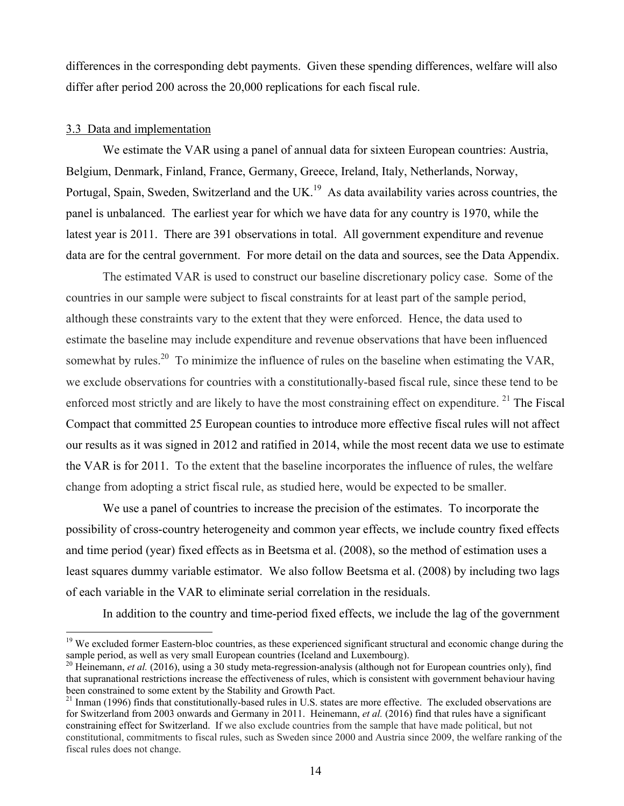differences in the corresponding debt payments. Given these spending differences, welfare will also differ after period 200 across the 20,000 replications for each fiscal rule.

#### 3.3 Data and implementation

 $\overline{a}$ 

We estimate the VAR using a panel of annual data for sixteen European countries: Austria, Belgium, Denmark, Finland, France, Germany, Greece, Ireland, Italy, Netherlands, Norway, Portugal, Spain, Sweden, Switzerland and the UK.<sup>19</sup> As data availability varies across countries, the panel is unbalanced. The earliest year for which we have data for any country is 1970, while the latest year is 2011. There are 391 observations in total. All government expenditure and revenue data are for the central government. For more detail on the data and sources, see the Data Appendix.

The estimated VAR is used to construct our baseline discretionary policy case. Some of the countries in our sample were subject to fiscal constraints for at least part of the sample period, although these constraints vary to the extent that they were enforced. Hence, the data used to estimate the baseline may include expenditure and revenue observations that have been influenced somewhat by rules.<sup>20</sup> To minimize the influence of rules on the baseline when estimating the VAR, we exclude observations for countries with a constitutionally-based fiscal rule, since these tend to be enforced most strictly and are likely to have the most constraining effect on expenditure. <sup>21</sup> The Fiscal Compact that committed 25 European counties to introduce more effective fiscal rules will not affect our results as it was signed in 2012 and ratified in 2014, while the most recent data we use to estimate the VAR is for 2011. To the extent that the baseline incorporates the influence of rules, the welfare change from adopting a strict fiscal rule, as studied here, would be expected to be smaller.

We use a panel of countries to increase the precision of the estimates. To incorporate the possibility of cross-country heterogeneity and common year effects, we include country fixed effects and time period (year) fixed effects as in Beetsma et al. (2008), so the method of estimation uses a least squares dummy variable estimator. We also follow Beetsma et al. (2008) by including two lags of each variable in the VAR to eliminate serial correlation in the residuals.

In addition to the country and time-period fixed effects, we include the lag of the government

<sup>&</sup>lt;sup>19</sup> We excluded former Eastern-bloc countries, as these experienced significant structural and economic change during the sample period, as well as very small European countries (Iceland and Luxembourg).

<sup>&</sup>lt;sup>20</sup> Heinemann, *et al.* (2016), using a 30 study meta-regression-analysis (although not for European countries only), find that supranational restrictions increase the effectiveness of rules, which is consistent with government behaviour having been constrained to some extent by the Stability and Growth Pact.

 $21$  Inman (1996) finds that constitutionally-based rules in U.S. states are more effective. The excluded observations are for Switzerland from 2003 onwards and Germany in 2011. Heinemann, *et al.* (2016) find that rules have a significant constraining effect for Switzerland. If we also exclude countries from the sample that have made political, but not constitutional, commitments to fiscal rules, such as Sweden since 2000 and Austria since 2009, the welfare ranking of the fiscal rules does not change.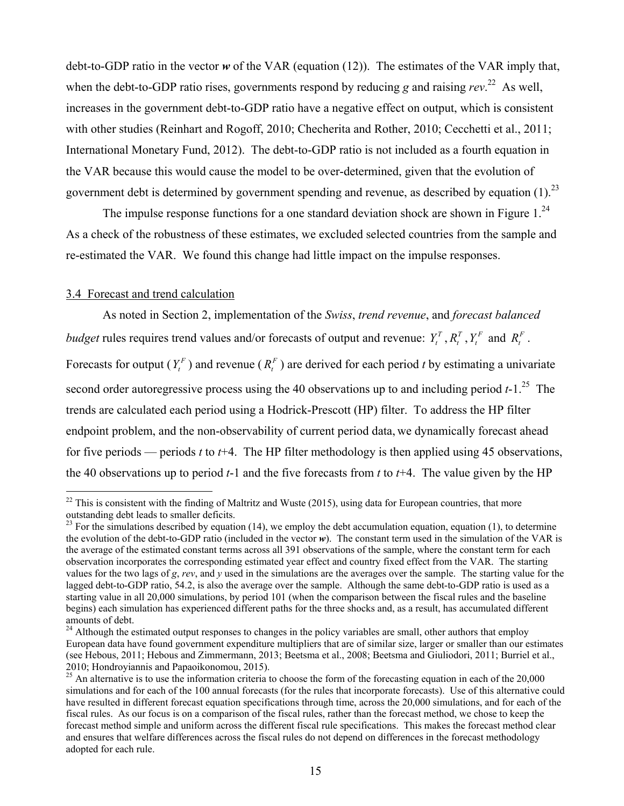debt-to-GDP ratio in the vector *w* of the VAR (equation (12)). The estimates of the VAR imply that, when the debt-to-GDP ratio rises, governments respond by reducing  $g$  and raising  $rev^{22}$ . As well, increases in the government debt-to-GDP ratio have a negative effect on output, which is consistent with other studies (Reinhart and Rogoff, 2010; Checherita and Rother, 2010; Cecchetti et al., 2011; International Monetary Fund, 2012). The debt-to-GDP ratio is not included as a fourth equation in the VAR because this would cause the model to be over-determined, given that the evolution of government debt is determined by government spending and revenue, as described by equation (1).<sup>23</sup>

The impulse response functions for a one standard deviation shock are shown in Figure  $1.^{24}$ . As a check of the robustness of these estimates, we excluded selected countries from the sample and re-estimated the VAR. We found this change had little impact on the impulse responses.

#### 3.4 Forecast and trend calculation

 $\overline{a}$ 

 As noted in Section 2, implementation of the *Swiss*, *trend revenue*, and *forecast balanced budget* rules requires trend values and/or forecasts of output and revenue:  $Y_t^T$ ,  $R_t^T$ ,  $Y_t^F$  and  $R_t^F$ .

Forecasts for output  $(Y_t^F)$  and revenue  $(R_t^F)$  are derived for each period *t* by estimating a univariate second order autoregressive process using the 40 observations up to and including period  $t$ -1.<sup>25</sup> The trends are calculated each period using a Hodrick-Prescott (HP) filter. To address the HP filter endpoint problem, and the non-observability of current period data, we dynamically forecast ahead for five periods — periods *t* to *t*+4. The HP filter methodology is then applied using 45 observations, the 40 observations up to period *t*-1 and the five forecasts from *t* to *t*+4. The value given by the HP

 $^{22}$  This is consistent with the finding of Maltritz and Wuste (2015), using data for European countries, that more outstanding debt leads to smaller deficits.

 $^{23}$  For the simulations described by equation (14), we employ the debt accumulation equation, equation (1), to determine the evolution of the debt-to-GDP ratio (included in the vector *w*). The constant term used in the simulation of the VAR is the average of the estimated constant terms across all 391 observations of the sample, where the constant term for each observation incorporates the corresponding estimated year effect and country fixed effect from the VAR. The starting values for the two lags of *g*, *rev*, and *y* used in the simulations are the averages over the sample. The starting value for the lagged debt-to-GDP ratio, 54.2, is also the average over the sample. Although the same debt-to-GDP ratio is used as a starting value in all 20,000 simulations, by period 101 (when the comparison between the fiscal rules and the baseline begins) each simulation has experienced different paths for the three shocks and, as a result, has accumulated different amounts of debt.

<sup>&</sup>lt;sup>24</sup> Although the estimated output responses to changes in the policy variables are small, other authors that employ European data have found government expenditure multipliers that are of similar size, larger or smaller than our estimates (see Hebous, 2011; Hebous and Zimmermann, 2013; Beetsma et al., 2008; Beetsma and Giuliodori, 2011; Burriel et al., 2010; Hondroyiannis and Papaoikonomou, 2015).

 $25$  An alternative is to use the information criteria to choose the form of the forecasting equation in each of the  $20,000$ simulations and for each of the 100 annual forecasts (for the rules that incorporate forecasts). Use of this alternative could have resulted in different forecast equation specifications through time, across the 20,000 simulations, and for each of the fiscal rules. As our focus is on a comparison of the fiscal rules, rather than the forecast method, we chose to keep the forecast method simple and uniform across the different fiscal rule specifications. This makes the forecast method clear and ensures that welfare differences across the fiscal rules do not depend on differences in the forecast methodology adopted for each rule.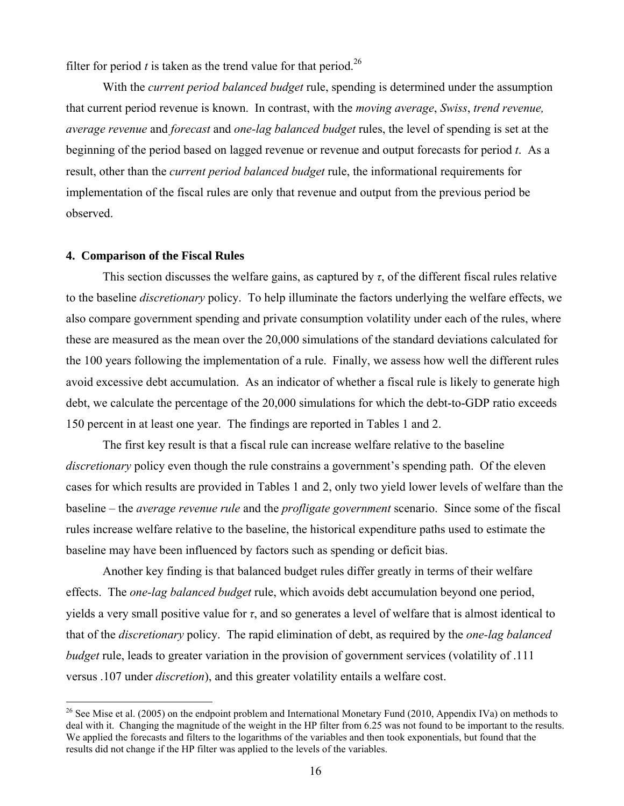filter for period  $t$  is taken as the trend value for that period.<sup>26</sup>

With the *current period balanced budget* rule, spending is determined under the assumption that current period revenue is known. In contrast, with the *moving average*, *Swiss*, *trend revenue, average revenue* and *forecast* and *one-lag balanced budget* rules, the level of spending is set at the beginning of the period based on lagged revenue or revenue and output forecasts for period *t*. As a result, other than the *current period balanced budget* rule, the informational requirements for implementation of the fiscal rules are only that revenue and output from the previous period be observed.

#### **4. Comparison of the Fiscal Rules**

 $\overline{a}$ 

This section discusses the welfare gains, as captured by *τ*, of the different fiscal rules relative to the baseline *discretionary* policy. To help illuminate the factors underlying the welfare effects, we also compare government spending and private consumption volatility under each of the rules, where these are measured as the mean over the 20,000 simulations of the standard deviations calculated for the 100 years following the implementation of a rule. Finally, we assess how well the different rules avoid excessive debt accumulation. As an indicator of whether a fiscal rule is likely to generate high debt, we calculate the percentage of the 20,000 simulations for which the debt-to-GDP ratio exceeds 150 percent in at least one year. The findings are reported in Tables 1 and 2.

The first key result is that a fiscal rule can increase welfare relative to the baseline *discretionary* policy even though the rule constrains a government's spending path. Of the eleven cases for which results are provided in Tables 1 and 2, only two yield lower levels of welfare than the baseline – the *average revenue rule* and the *profligate government* scenario. Since some of the fiscal rules increase welfare relative to the baseline, the historical expenditure paths used to estimate the baseline may have been influenced by factors such as spending or deficit bias.

Another key finding is that balanced budget rules differ greatly in terms of their welfare effects. The *one-lag balanced budget* rule, which avoids debt accumulation beyond one period, yields a very small positive value for *τ*, and so generates a level of welfare that is almost identical to that of the *discretionary* policy. The rapid elimination of debt, as required by the *one-lag balanced budget* rule, leads to greater variation in the provision of government services (volatility of .111 versus .107 under *discretion*), and this greater volatility entails a welfare cost.

<sup>&</sup>lt;sup>26</sup> See Mise et al. (2005) on the endpoint problem and International Monetary Fund (2010, Appendix IVa) on methods to deal with it. Changing the magnitude of the weight in the HP filter from 6.25 was not found to be important to the results. We applied the forecasts and filters to the logarithms of the variables and then took exponentials, but found that the results did not change if the HP filter was applied to the levels of the variables.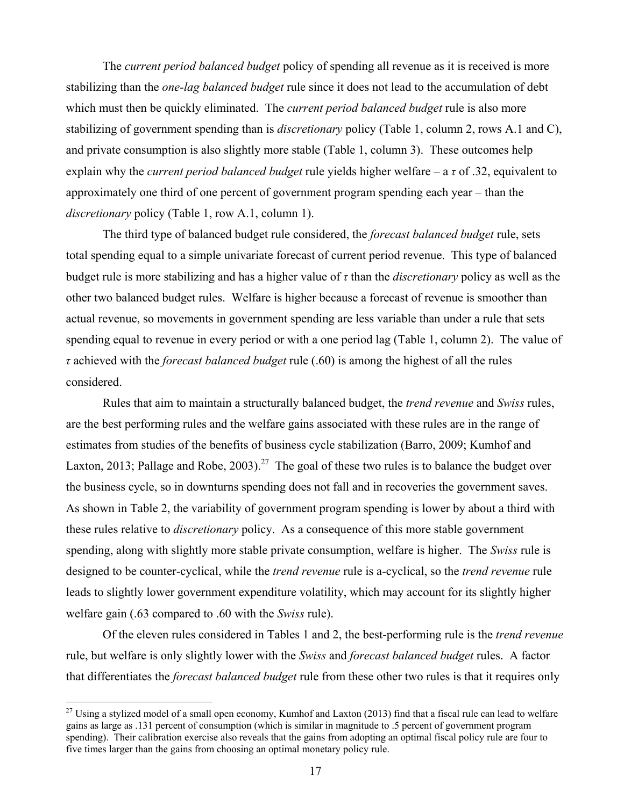The *current period balanced budget* policy of spending all revenue as it is received is more stabilizing than the *one-lag balanced budget* rule since it does not lead to the accumulation of debt which must then be quickly eliminated. The *current period balanced budget* rule is also more stabilizing of government spending than is *discretionary* policy (Table 1, column 2, rows A.1 and C), and private consumption is also slightly more stable (Table 1, column 3). These outcomes help explain why the *current period balanced budget* rule yields higher welfare – a *τ* of .32, equivalent to approximately one third of one percent of government program spending each year – than the *discretionary* policy (Table 1, row A.1, column 1).

The third type of balanced budget rule considered, the *forecast balanced budget* rule, sets total spending equal to a simple univariate forecast of current period revenue. This type of balanced budget rule is more stabilizing and has a higher value of *τ* than the *discretionary* policy as well as the other two balanced budget rules. Welfare is higher because a forecast of revenue is smoother than actual revenue, so movements in government spending are less variable than under a rule that sets spending equal to revenue in every period or with a one period lag (Table 1, column 2). The value of *τ* achieved with the *forecast balanced budget* rule (.60) is among the highest of all the rules considered.

Rules that aim to maintain a structurally balanced budget, the *trend revenue* and *Swiss* rules, are the best performing rules and the welfare gains associated with these rules are in the range of estimates from studies of the benefits of business cycle stabilization (Barro, 2009; Kumhof and Laxton, 2013; Pallage and Robe, 2003).<sup>27</sup> The goal of these two rules is to balance the budget over the business cycle, so in downturns spending does not fall and in recoveries the government saves. As shown in Table 2, the variability of government program spending is lower by about a third with these rules relative to *discretionary* policy. As a consequence of this more stable government spending, along with slightly more stable private consumption, welfare is higher. The *Swiss* rule is designed to be counter-cyclical, while the *trend revenue* rule is a-cyclical, so the *trend revenue* rule leads to slightly lower government expenditure volatility, which may account for its slightly higher welfare gain (.63 compared to .60 with the *Swiss* rule).

Of the eleven rules considered in Tables 1 and 2, the best-performing rule is the *trend revenue* rule, but welfare is only slightly lower with the *Swiss* and *forecast balanced budget* rules. A factor that differentiates the *forecast balanced budget* rule from these other two rules is that it requires only

 $\overline{a}$ 

 $^{27}$  Using a stylized model of a small open economy, Kumhof and Laxton (2013) find that a fiscal rule can lead to welfare gains as large as .131 percent of consumption (which is similar in magnitude to .5 percent of government program spending). Their calibration exercise also reveals that the gains from adopting an optimal fiscal policy rule are four to five times larger than the gains from choosing an optimal monetary policy rule.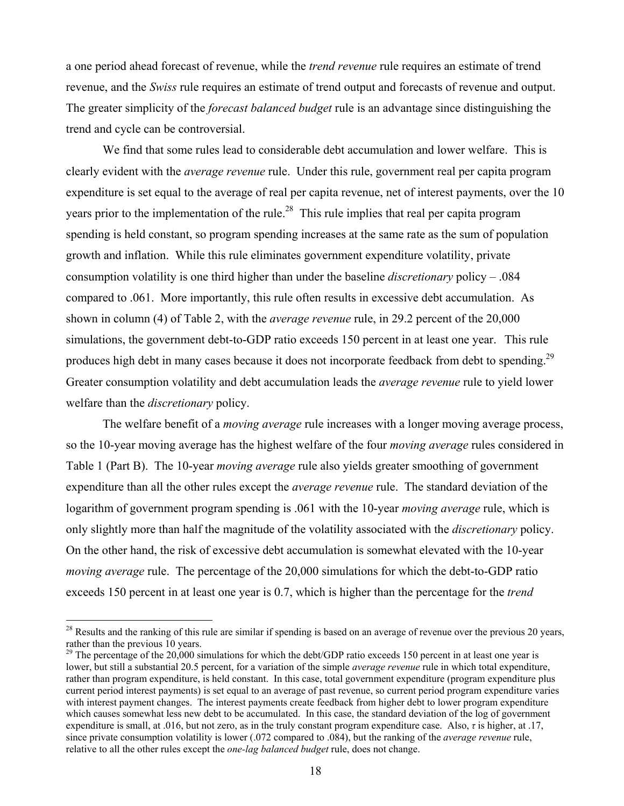a one period ahead forecast of revenue, while the *trend revenue* rule requires an estimate of trend revenue, and the *Swiss* rule requires an estimate of trend output and forecasts of revenue and output. The greater simplicity of the *forecast balanced budget* rule is an advantage since distinguishing the trend and cycle can be controversial.

We find that some rules lead to considerable debt accumulation and lower welfare. This is clearly evident with the *average revenue* rule. Under this rule, government real per capita program expenditure is set equal to the average of real per capita revenue, net of interest payments, over the 10 years prior to the implementation of the rule.<sup>28</sup> This rule implies that real per capita program spending is held constant, so program spending increases at the same rate as the sum of population growth and inflation. While this rule eliminates government expenditure volatility, private consumption volatility is one third higher than under the baseline *discretionary* policy – .084 compared to .061. More importantly, this rule often results in excessive debt accumulation. As shown in column (4) of Table 2, with the *average revenue* rule, in 29.2 percent of the 20,000 simulations, the government debt-to-GDP ratio exceeds 150 percent in at least one year. This rule produces high debt in many cases because it does not incorporate feedback from debt to spending.<sup>29</sup> Greater consumption volatility and debt accumulation leads the *average revenue* rule to yield lower welfare than the *discretionary* policy.

The welfare benefit of a *moving average* rule increases with a longer moving average process, so the 10-year moving average has the highest welfare of the four *moving average* rules considered in Table 1 (Part B). The 10-year *moving average* rule also yields greater smoothing of government expenditure than all the other rules except the *average revenue* rule. The standard deviation of the logarithm of government program spending is .061 with the 10-year *moving average* rule, which is only slightly more than half the magnitude of the volatility associated with the *discretionary* policy. On the other hand, the risk of excessive debt accumulation is somewhat elevated with the 10-year *moving average* rule. The percentage of the 20,000 simulations for which the debt-to-GDP ratio exceeds 150 percent in at least one year is 0.7, which is higher than the percentage for the *trend* 

 $\overline{a}$ 

 $^{28}$  Results and the ranking of this rule are similar if spending is based on an average of revenue over the previous 20 years, rather than the previous 10 years.

<sup>&</sup>lt;sup>29</sup> The percentage of the 20,000 simulations for which the debt/GDP ratio exceeds 150 percent in at least one year is lower, but still a substantial 20.5 percent, for a variation of the simple *average revenue* rule in which total expenditure, rather than program expenditure, is held constant. In this case, total government expenditure (program expenditure plus current period interest payments) is set equal to an average of past revenue, so current period program expenditure varies with interest payment changes. The interest payments create feedback from higher debt to lower program expenditure which causes somewhat less new debt to be accumulated. In this case, the standard deviation of the log of government expenditure is small, at .016, but not zero, as in the truly constant program expenditure case. Also, *τ* is higher, at .17, since private consumption volatility is lower (.072 compared to .084), but the ranking of the *average revenue* rule, relative to all the other rules except the *one-lag balanced budget* rule, does not change.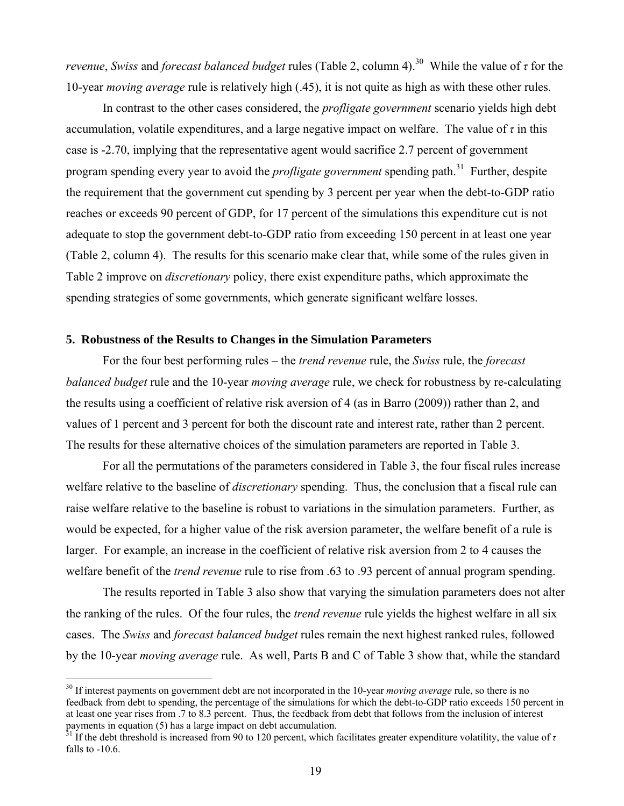*revenue, Swiss* and *forecast balanced budget* rules (Table 2, column 4).<sup>30</sup> While the value of *τ* for the 10-year *moving average* rule is relatively high (.45), it is not quite as high as with these other rules.

In contrast to the other cases considered, the *profligate government* scenario yields high debt accumulation, volatile expenditures, and a large negative impact on welfare. The value of  $\tau$  in this case is -2.70, implying that the representative agent would sacrifice 2.7 percent of government program spending every year to avoid the *profligate government* spending path.<sup>31</sup> Further, despite the requirement that the government cut spending by 3 percent per year when the debt-to-GDP ratio reaches or exceeds 90 percent of GDP, for 17 percent of the simulations this expenditure cut is not adequate to stop the government debt-to-GDP ratio from exceeding 150 percent in at least one year (Table 2, column 4). The results for this scenario make clear that, while some of the rules given in Table 2 improve on *discretionary* policy, there exist expenditure paths, which approximate the spending strategies of some governments, which generate significant welfare losses.

#### **5. Robustness of the Results to Changes in the Simulation Parameters**

 $\overline{a}$ 

For the four best performing rules – the *trend revenue* rule, the *Swiss* rule, the *forecast balanced budget* rule and the 10-year *moving average* rule, we check for robustness by re-calculating the results using a coefficient of relative risk aversion of 4 (as in Barro (2009)) rather than 2, and values of 1 percent and 3 percent for both the discount rate and interest rate, rather than 2 percent. The results for these alternative choices of the simulation parameters are reported in Table 3.

For all the permutations of the parameters considered in Table 3, the four fiscal rules increase welfare relative to the baseline of *discretionary* spending. Thus, the conclusion that a fiscal rule can raise welfare relative to the baseline is robust to variations in the simulation parameters. Further, as would be expected, for a higher value of the risk aversion parameter, the welfare benefit of a rule is larger. For example, an increase in the coefficient of relative risk aversion from 2 to 4 causes the welfare benefit of the *trend revenue* rule to rise from .63 to .93 percent of annual program spending.

The results reported in Table 3 also show that varying the simulation parameters does not alter the ranking of the rules. Of the four rules, the *trend revenue* rule yields the highest welfare in all six cases. The *Swiss* and *forecast balanced budget* rules remain the next highest ranked rules, followed by the 10-year *moving average* rule. As well, Parts B and C of Table 3 show that, while the standard

<sup>&</sup>lt;sup>30</sup> If interest payments on government debt are not incorporated in the 10-year *moving average* rule, so there is no feedback from debt to spending, the percentage of the simulations for which the debt-to-GDP ratio exceeds 150 percent in at least one year rises from .7 to 8.3 percent. Thus, the feedback from debt that follows from the inclusion of interest payments in equation (5) has a large impact on debt accumulation.

 $31$  If the debt threshold is increased from 90 to 120 percent, which facilitates greater expenditure volatility, the value of  $\tau$ falls to -10.6.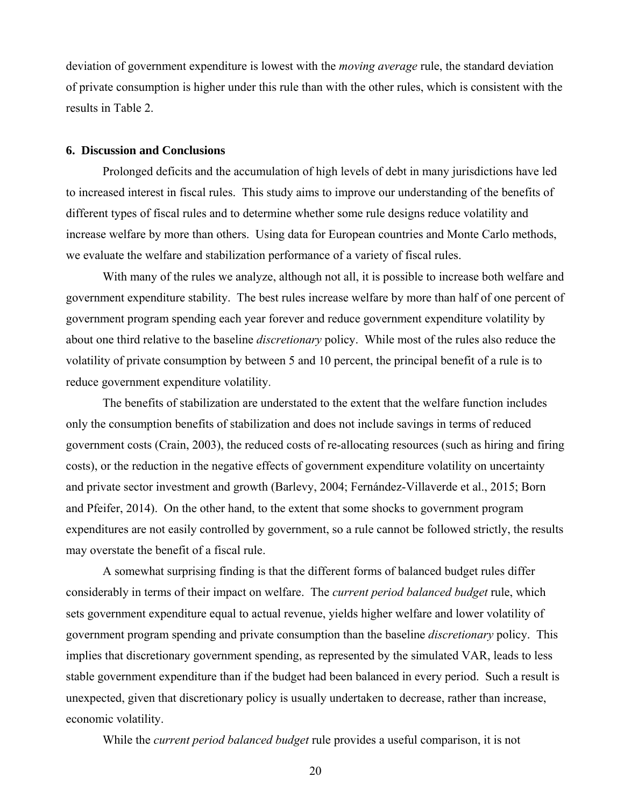deviation of government expenditure is lowest with the *moving average* rule, the standard deviation of private consumption is higher under this rule than with the other rules, which is consistent with the results in Table 2.

#### **6. Discussion and Conclusions**

Prolonged deficits and the accumulation of high levels of debt in many jurisdictions have led to increased interest in fiscal rules. This study aims to improve our understanding of the benefits of different types of fiscal rules and to determine whether some rule designs reduce volatility and increase welfare by more than others. Using data for European countries and Monte Carlo methods, we evaluate the welfare and stabilization performance of a variety of fiscal rules.

With many of the rules we analyze, although not all, it is possible to increase both welfare and government expenditure stability. The best rules increase welfare by more than half of one percent of government program spending each year forever and reduce government expenditure volatility by about one third relative to the baseline *discretionary* policy. While most of the rules also reduce the volatility of private consumption by between 5 and 10 percent, the principal benefit of a rule is to reduce government expenditure volatility.

The benefits of stabilization are understated to the extent that the welfare function includes only the consumption benefits of stabilization and does not include savings in terms of reduced government costs (Crain, 2003), the reduced costs of re-allocating resources (such as hiring and firing costs), or the reduction in the negative effects of government expenditure volatility on uncertainty and private sector investment and growth (Barlevy, 2004; Fernández-Villaverde et al., 2015; Born and Pfeifer, 2014). On the other hand, to the extent that some shocks to government program expenditures are not easily controlled by government, so a rule cannot be followed strictly, the results may overstate the benefit of a fiscal rule.

A somewhat surprising finding is that the different forms of balanced budget rules differ considerably in terms of their impact on welfare. The *current period balanced budget* rule, which sets government expenditure equal to actual revenue, yields higher welfare and lower volatility of government program spending and private consumption than the baseline *discretionary* policy. This implies that discretionary government spending, as represented by the simulated VAR, leads to less stable government expenditure than if the budget had been balanced in every period. Such a result is unexpected, given that discretionary policy is usually undertaken to decrease, rather than increase, economic volatility.

While the *current period balanced budget* rule provides a useful comparison, it is not

20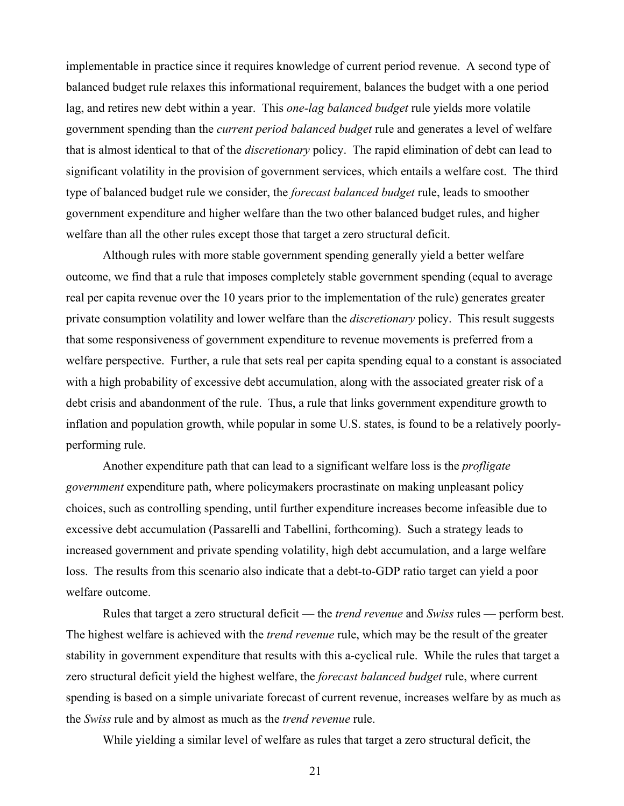implementable in practice since it requires knowledge of current period revenue. A second type of balanced budget rule relaxes this informational requirement, balances the budget with a one period lag, and retires new debt within a year. This *one-lag balanced budget* rule yields more volatile government spending than the *current period balanced budget* rule and generates a level of welfare that is almost identical to that of the *discretionary* policy. The rapid elimination of debt can lead to significant volatility in the provision of government services, which entails a welfare cost. The third type of balanced budget rule we consider, the *forecast balanced budget* rule, leads to smoother government expenditure and higher welfare than the two other balanced budget rules, and higher welfare than all the other rules except those that target a zero structural deficit.

Although rules with more stable government spending generally yield a better welfare outcome, we find that a rule that imposes completely stable government spending (equal to average real per capita revenue over the 10 years prior to the implementation of the rule) generates greater private consumption volatility and lower welfare than the *discretionary* policy. This result suggests that some responsiveness of government expenditure to revenue movements is preferred from a welfare perspective. Further, a rule that sets real per capita spending equal to a constant is associated with a high probability of excessive debt accumulation, along with the associated greater risk of a debt crisis and abandonment of the rule. Thus, a rule that links government expenditure growth to inflation and population growth, while popular in some U.S. states, is found to be a relatively poorlyperforming rule.

Another expenditure path that can lead to a significant welfare loss is the *profligate government* expenditure path, where policymakers procrastinate on making unpleasant policy choices, such as controlling spending, until further expenditure increases become infeasible due to excessive debt accumulation (Passarelli and Tabellini, forthcoming). Such a strategy leads to increased government and private spending volatility, high debt accumulation, and a large welfare loss. The results from this scenario also indicate that a debt-to-GDP ratio target can yield a poor welfare outcome.

Rules that target a zero structural deficit — the *trend revenue* and *Swiss* rules — perform best. The highest welfare is achieved with the *trend revenue* rule, which may be the result of the greater stability in government expenditure that results with this a-cyclical rule. While the rules that target a zero structural deficit yield the highest welfare, the *forecast balanced budget* rule, where current spending is based on a simple univariate forecast of current revenue, increases welfare by as much as the *Swiss* rule and by almost as much as the *trend revenue* rule.

While yielding a similar level of welfare as rules that target a zero structural deficit, the

21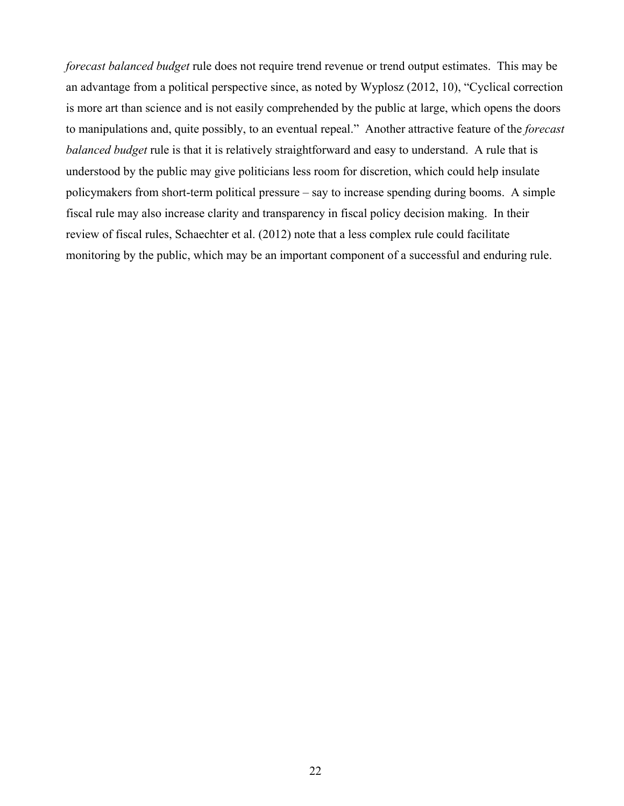*forecast balanced budget* rule does not require trend revenue or trend output estimates. This may be an advantage from a political perspective since, as noted by Wyplosz (2012, 10), "Cyclical correction is more art than science and is not easily comprehended by the public at large, which opens the doors to manipulations and, quite possibly, to an eventual repeal." Another attractive feature of the *forecast balanced budget* rule is that it is relatively straightforward and easy to understand. A rule that is understood by the public may give politicians less room for discretion, which could help insulate policymakers from short-term political pressure – say to increase spending during booms. A simple fiscal rule may also increase clarity and transparency in fiscal policy decision making. In their review of fiscal rules, Schaechter et al. (2012) note that a less complex rule could facilitate monitoring by the public, which may be an important component of a successful and enduring rule.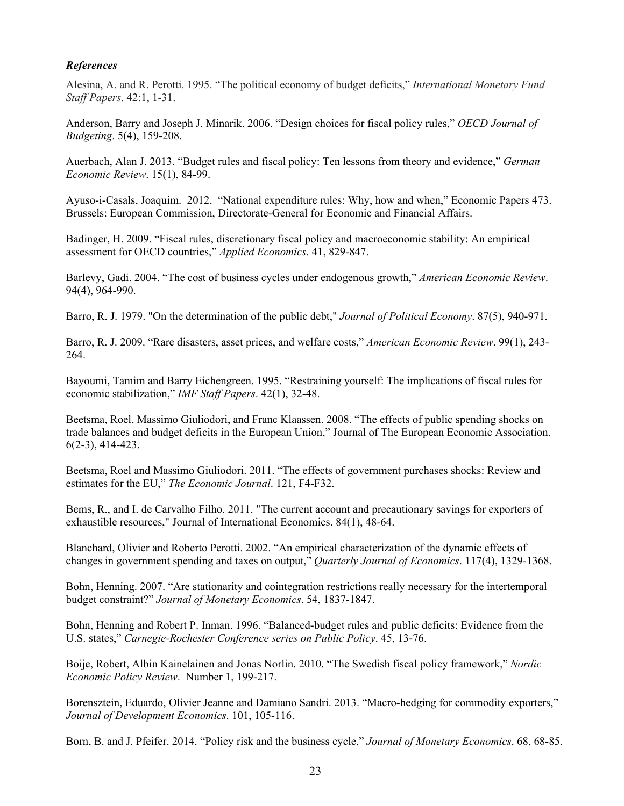#### *References*

Alesina, A. and R. Perotti. 1995. "The political economy of budget deficits," *International Monetary Fund Staff Papers*. 42:1, 1-31.

Anderson, Barry and Joseph J. Minarik. 2006. "Design choices for fiscal policy rules," *OECD Journal of Budgeting*. 5(4), 159-208.

Auerbach, Alan J. 2013. "Budget rules and fiscal policy: Ten lessons from theory and evidence," *German Economic Review*. 15(1), 84-99.

Ayuso-i-Casals, Joaquim. 2012. "National expenditure rules: Why, how and when," Economic Papers 473. Brussels: European Commission, Directorate-General for Economic and Financial Affairs.

Badinger, H. 2009. "Fiscal rules, discretionary fiscal policy and macroeconomic stability: An empirical assessment for OECD countries," *Applied Economics*. 41, 829-847.

Barlevy, Gadi. 2004. "The cost of business cycles under endogenous growth," *American Economic Review*. 94(4), 964-990.

Barro, R. J. 1979. "On the determination of the public debt," *Journal of Political Economy*. 87(5), 940-971.

Barro, R. J. 2009. "Rare disasters, asset prices, and welfare costs," *American Economic Review*. 99(1), 243- 264.

Bayoumi, Tamim and Barry Eichengreen. 1995. "Restraining yourself: The implications of fiscal rules for economic stabilization," *IMF Staff Papers*. 42(1), 32-48.

Beetsma, Roel, Massimo Giuliodori, and Franc Klaassen. 2008. "The effects of public spending shocks on trade balances and budget deficits in the European Union," Journal of The European Economic Association. 6(2-3), 414-423.

Beetsma, Roel and Massimo Giuliodori. 2011. "The effects of government purchases shocks: Review and estimates for the EU," *The Economic Journal*. 121, F4-F32.

Bems, R., and I. de Carvalho Filho. 2011. "The current account and precautionary savings for exporters of exhaustible resources," Journal of International Economics. 84(1), 48-64.

Blanchard, Olivier and Roberto Perotti. 2002. "An empirical characterization of the dynamic effects of changes in government spending and taxes on output," *Quarterly Journal of Economics*. 117(4), 1329-1368.

Bohn, Henning. 2007. "Are stationarity and cointegration restrictions really necessary for the intertemporal budget constraint?" *Journal of Monetary Economics*. 54, 1837-1847.

Bohn, Henning and Robert P. Inman. 1996. "Balanced-budget rules and public deficits: Evidence from the U.S. states," *Carnegie-Rochester Conference series on Public Policy*. 45, 13-76.

Boije, Robert, Albin Kainelainen and Jonas Norlin. 2010. "The Swedish fiscal policy framework," *Nordic Economic Policy Review*. Number 1, 199-217.

Borensztein, Eduardo, Olivier Jeanne and Damiano Sandri. 2013. "Macro-hedging for commodity exporters," *Journal of Development Economics*. 101, 105-116.

Born, B. and J. Pfeifer. 2014. "Policy risk and the business cycle," *Journal of Monetary Economics*. 68, 68-85.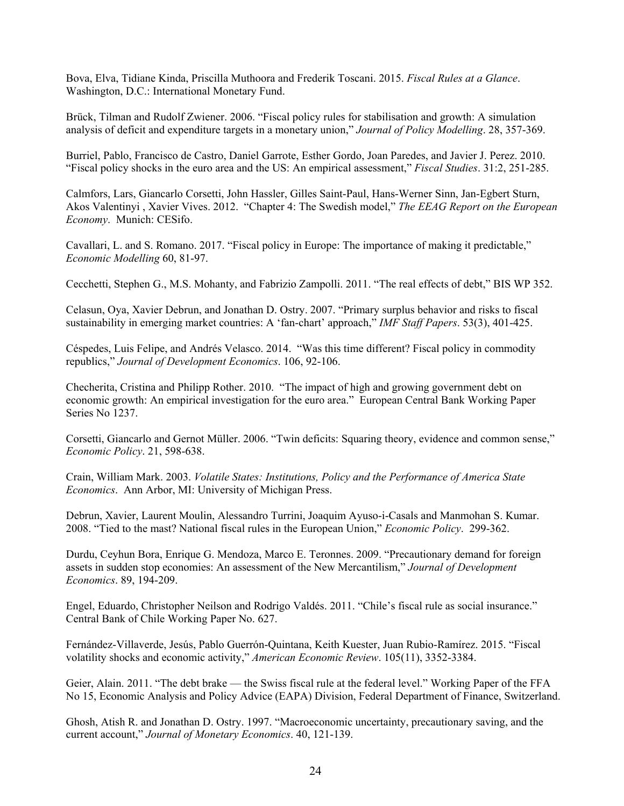Bova, Elva, Tidiane Kinda, Priscilla Muthoora and Frederik Toscani. 2015. *Fiscal Rules at a Glance*. Washington, D.C.: International Monetary Fund.

Brück, Tilman and Rudolf Zwiener. 2006. "Fiscal policy rules for stabilisation and growth: A simulation analysis of deficit and expenditure targets in a monetary union," *Journal of Policy Modelling*. 28, 357-369.

Burriel, Pablo, Francisco de Castro, Daniel Garrote, Esther Gordo, Joan Paredes, and Javier J. Perez. 2010. "Fiscal policy shocks in the euro area and the US: An empirical assessment," *Fiscal Studies*. 31:2, 251-285.

Calmfors, Lars, Giancarlo Corsetti, John Hassler, Gilles Saint-Paul, Hans-Werner Sinn, Jan-Egbert Sturn, Akos Valentinyi , Xavier Vives. 2012. "Chapter 4: The Swedish model," *The EEAG Report on the European Economy*. Munich: CESifo.

Cavallari, L. and S. Romano. 2017. "Fiscal policy in Europe: The importance of making it predictable," *Economic Modelling* 60, 81-97.

Cecchetti, Stephen G., M.S. Mohanty, and Fabrizio Zampolli. 2011. "The real effects of debt," BIS WP 352.

Celasun, Oya, Xavier Debrun, and Jonathan D. Ostry. 2007. "Primary surplus behavior and risks to fiscal sustainability in emerging market countries: A 'fan-chart' approach," *IMF Staff Papers*. 53(3), 401-425.

Céspedes, Luis Felipe, and Andrés Velasco. 2014. "Was this time different? Fiscal policy in commodity republics," *Journal of Development Economics*. 106, 92-106.

Checherita, Cristina and Philipp Rother. 2010. "The impact of high and growing government debt on economic growth: An empirical investigation for the euro area." European Central Bank Working Paper Series No 1237.

Corsetti, Giancarlo and Gernot Müller. 2006. "Twin deficits: Squaring theory, evidence and common sense," *Economic Policy*. 21, 598-638.

Crain, William Mark. 2003. *Volatile States: Institutions, Policy and the Performance of America State Economics*. Ann Arbor, MI: University of Michigan Press.

Debrun, Xavier, Laurent Moulin, Alessandro Turrini, Joaquim Ayuso-i-Casals and Manmohan S. Kumar. 2008. "Tied to the mast? National fiscal rules in the European Union," *Economic Policy*. 299-362.

Durdu, Ceyhun Bora, Enrique G. Mendoza, Marco E. Teronnes. 2009. "Precautionary demand for foreign assets in sudden stop economies: An assessment of the New Mercantilism," *Journal of Development Economics*. 89, 194-209.

Engel, Eduardo, Christopher Neilson and Rodrigo Valdés. 2011. "Chile's fiscal rule as social insurance." Central Bank of Chile Working Paper No. 627.

Fernández-Villaverde, Jesús, Pablo Guerrón-Quintana, Keith Kuester, Juan Rubio-Ramírez. 2015. "Fiscal volatility shocks and economic activity," *American Economic Review*. 105(11), 3352-3384.

Geier, Alain. 2011. "The debt brake — the Swiss fiscal rule at the federal level." Working Paper of the FFA No 15, Economic Analysis and Policy Advice (EAPA) Division, Federal Department of Finance, Switzerland.

Ghosh, Atish R. and Jonathan D. Ostry. 1997. "Macroeconomic uncertainty, precautionary saving, and the current account," *Journal of Monetary Economics*. 40, 121-139.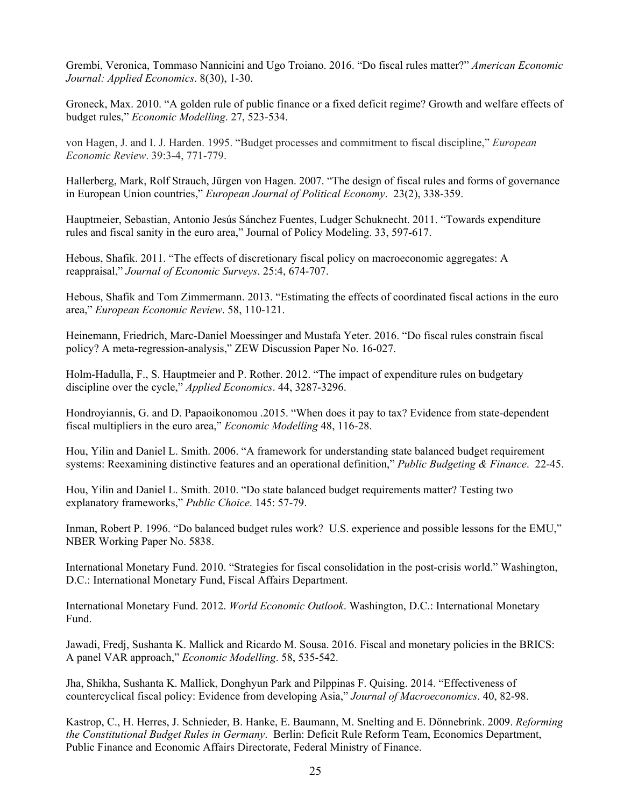Grembi, Veronica, Tommaso Nannicini and Ugo Troiano. 2016. "Do fiscal rules matter?" *American Economic Journal: Applied Economics*. 8(30), 1-30.

Groneck, Max. 2010. "A golden rule of public finance or a fixed deficit regime? Growth and welfare effects of budget rules," *Economic Modelling*. 27, 523-534.

von Hagen, J. and I. J. Harden. 1995. "Budget processes and commitment to fiscal discipline," *European Economic Review*. 39:3-4, 771-779.

Hallerberg, Mark, Rolf Strauch, Jürgen von Hagen. 2007. "The design of fiscal rules and forms of governance in European Union countries," *European Journal of Political Economy*. 23(2), 338-359.

Hauptmeier, Sebastian, Antonio Jesús Sánchez Fuentes, Ludger Schuknecht. 2011. "Towards expenditure rules and fiscal sanity in the euro area," Journal of Policy Modeling. 33, 597-617.

Hebous, Shafik. 2011. "The effects of discretionary fiscal policy on macroeconomic aggregates: A reappraisal," *Journal of Economic Surveys*. 25:4, 674-707.

Hebous, Shafik and Tom Zimmermann. 2013. "Estimating the effects of coordinated fiscal actions in the euro area," *European Economic Review*. 58, 110-121.

Heinemann, Friedrich, Marc-Daniel Moessinger and Mustafa Yeter. 2016. "Do fiscal rules constrain fiscal policy? A meta-regression-analysis," ZEW Discussion Paper No. 16-027.

Holm-Hadulla, F., S. Hauptmeier and P. Rother. 2012. "The impact of expenditure rules on budgetary discipline over the cycle," *Applied Economics*. 44, 3287-3296.

Hondroyiannis, G. and D. Papaoikonomou .2015. "When does it pay to tax? Evidence from state-dependent fiscal multipliers in the euro area," *Economic Modelling* 48, 116-28.

Hou, Yilin and Daniel L. Smith. 2006. "A framework for understanding state balanced budget requirement systems: Reexamining distinctive features and an operational definition," *Public Budgeting & Finance*. 22-45.

Hou, Yilin and Daniel L. Smith. 2010. "Do state balanced budget requirements matter? Testing two explanatory frameworks," *Public Choice*. 145: 57-79.

Inman, Robert P. 1996. "Do balanced budget rules work? U.S. experience and possible lessons for the EMU," NBER Working Paper No. 5838.

International Monetary Fund. 2010. "Strategies for fiscal consolidation in the post-crisis world." Washington, D.C.: International Monetary Fund, Fiscal Affairs Department.

International Monetary Fund. 2012. *World Economic Outlook*. Washington, D.C.: International Monetary Fund.

Jawadi, Fredj, Sushanta K. Mallick and Ricardo M. Sousa. 2016. Fiscal and monetary policies in the BRICS: A panel VAR approach," *Economic Modelling*. 58, 535-542.

Jha, Shikha, Sushanta K. Mallick, Donghyun Park and Pilppinas F. Quising. 2014. "Effectiveness of countercyclical fiscal policy: Evidence from developing Asia," *Journal of Macroeconomics*. 40, 82-98.

Kastrop, C., H. Herres, J. Schnieder, B. Hanke, E. Baumann, M. Snelting and E. Dönnebrink. 2009. *Reforming the Constitutional Budget Rules in Germany*. Berlin: Deficit Rule Reform Team, Economics Department, Public Finance and Economic Affairs Directorate, Federal Ministry of Finance.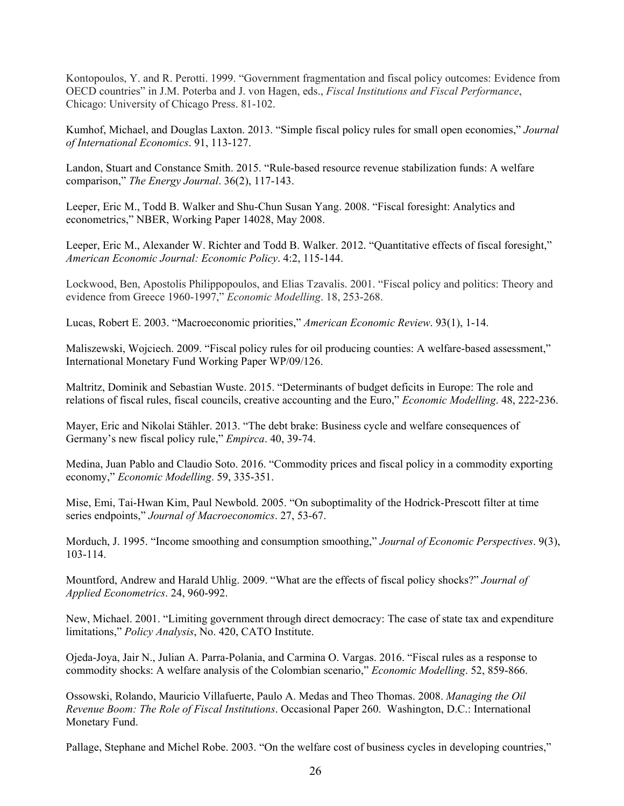Kontopoulos, Y. and R. Perotti. 1999. "Government fragmentation and fiscal policy outcomes: Evidence from OECD countries" in J.M. Poterba and J. von Hagen, eds., *Fiscal Institutions and Fiscal Performance*, Chicago: University of Chicago Press. 81-102.

Kumhof, Michael, and Douglas Laxton. 2013. "Simple fiscal policy rules for small open economies," *Journal of International Economics*. 91, 113-127.

Landon, Stuart and Constance Smith. 2015. "Rule-based resource revenue stabilization funds: A welfare comparison," *The Energy Journal*. 36(2), 117-143.

Leeper, Eric M., Todd B. Walker and Shu-Chun Susan Yang. 2008. "Fiscal foresight: Analytics and econometrics," NBER, Working Paper 14028, May 2008.

Leeper, Eric M., Alexander W. Richter and Todd B. Walker. 2012. "Quantitative effects of fiscal foresight," *American Economic Journal: Economic Policy*. 4:2, 115-144.

Lockwood, Ben, Apostolis Philippopoulos, and Elias Tzavalis. 2001. "Fiscal policy and politics: Theory and evidence from Greece 1960-1997," *Economic Modelling*. 18, 253-268.

Lucas, Robert E. 2003. "Macroeconomic priorities," *American Economic Review*. 93(1), 1-14.

Maliszewski, Wojciech. 2009. "Fiscal policy rules for oil producing counties: A welfare-based assessment," International Monetary Fund Working Paper WP/09/126.

Maltritz, Dominik and Sebastian Wuste. 2015. "Determinants of budget deficits in Europe: The role and relations of fiscal rules, fiscal councils, creative accounting and the Euro," *Economic Modelling*. 48, 222-236.

Mayer, Eric and Nikolai Stähler. 2013. "The debt brake: Business cycle and welfare consequences of Germany's new fiscal policy rule," *Empirca*. 40, 39-74.

Medina, Juan Pablo and Claudio Soto. 2016. "Commodity prices and fiscal policy in a commodity exporting economy," *Economic Modelling*. 59, 335-351.

Mise, Emi, Tai-Hwan Kim, Paul Newbold. 2005. "On suboptimality of the Hodrick-Prescott filter at time series endpoints," *Journal of Macroeconomics*. 27, 53-67.

Morduch, J. 1995. "Income smoothing and consumption smoothing," *Journal of Economic Perspectives*. 9(3), 103-114.

Mountford, Andrew and Harald Uhlig. 2009. "What are the effects of fiscal policy shocks?" *Journal of Applied Econometrics*. 24, 960-992.

New, Michael. 2001. "Limiting government through direct democracy: The case of state tax and expenditure limitations," *Policy Analysis*, No. 420, CATO Institute.

Ojeda-Joya, Jair N., Julian A. Parra-Polania, and Carmina O. Vargas. 2016. "Fiscal rules as a response to commodity shocks: A welfare analysis of the Colombian scenario," *Economic Modelling*. 52, 859-866.

Ossowski, Rolando, Mauricio Villafuerte, Paulo A. Medas and Theo Thomas. 2008. *Managing the Oil Revenue Boom: The Role of Fiscal Institutions*. Occasional Paper 260. Washington, D.C.: International Monetary Fund.

Pallage, Stephane and Michel Robe. 2003. "On the welfare cost of business cycles in developing countries,"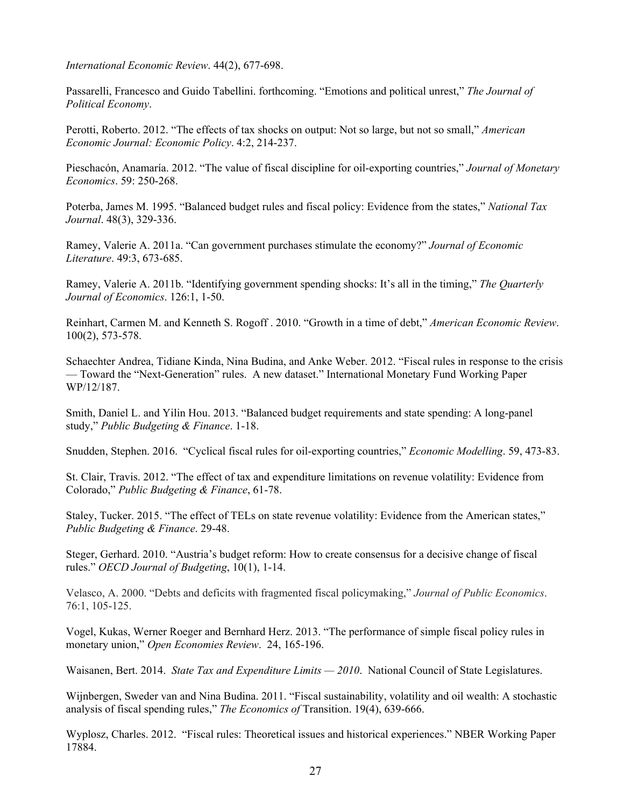*International Economic Review*. 44(2), 677-698.

Passarelli, Francesco and Guido Tabellini. forthcoming. "Emotions and political unrest," *The Journal of Political Economy*.

Perotti, Roberto. 2012. "The effects of tax shocks on output: Not so large, but not so small," *American Economic Journal: Economic Policy*. 4:2, 214-237.

Pieschacón, Anamaría. 2012. "The value of fiscal discipline for oil-exporting countries," *Journal of Monetary Economics*. 59: 250-268.

Poterba, James M. 1995. "Balanced budget rules and fiscal policy: Evidence from the states," *National Tax Journal*. 48(3), 329-336.

Ramey, Valerie A. 2011a. "Can government purchases stimulate the economy?" *Journal of Economic Literature*. 49:3, 673-685.

Ramey, Valerie A. 2011b. "Identifying government spending shocks: It's all in the timing," *The Quarterly Journal of Economics*. 126:1, 1-50.

Reinhart, Carmen M. and Kenneth S. Rogoff . 2010. "Growth in a time of debt," *American Economic Review*. 100(2), 573-578.

Schaechter Andrea, Tidiane Kinda, Nina Budina, and Anke Weber. 2012. "Fiscal rules in response to the crisis — Toward the "Next-Generation" rules. A new dataset." International Monetary Fund Working Paper WP/12/187.

Smith, Daniel L. and Yilin Hou. 2013. "Balanced budget requirements and state spending: A long-panel study," *Public Budgeting & Finance*. 1-18.

Snudden, Stephen. 2016. "Cyclical fiscal rules for oil-exporting countries," *Economic Modelling*. 59, 473-83.

St. Clair, Travis. 2012. "The effect of tax and expenditure limitations on revenue volatility: Evidence from Colorado," *Public Budgeting & Finance*, 61-78.

Staley, Tucker. 2015. "The effect of TELs on state revenue volatility: Evidence from the American states," *Public Budgeting & Finance*. 29-48.

Steger, Gerhard. 2010. "Austria's budget reform: How to create consensus for a decisive change of fiscal rules." *OECD Journal of Budgeting*, 10(1), 1-14.

Velasco, A. 2000. "Debts and deficits with fragmented fiscal policymaking," *Journal of Public Economics*. 76:1, 105-125.

Vogel, Kukas, Werner Roeger and Bernhard Herz. 2013. "The performance of simple fiscal policy rules in monetary union," *Open Economies Review*. 24, 165-196.

Waisanen, Bert. 2014. *State Tax and Expenditure Limits — 2010*. National Council of State Legislatures.

Wijnbergen, Sweder van and Nina Budina. 2011. "Fiscal sustainability, volatility and oil wealth: A stochastic analysis of fiscal spending rules," *The Economics of* Transition. 19(4), 639-666.

Wyplosz, Charles. 2012. "Fiscal rules: Theoretical issues and historical experiences." NBER Working Paper 17884.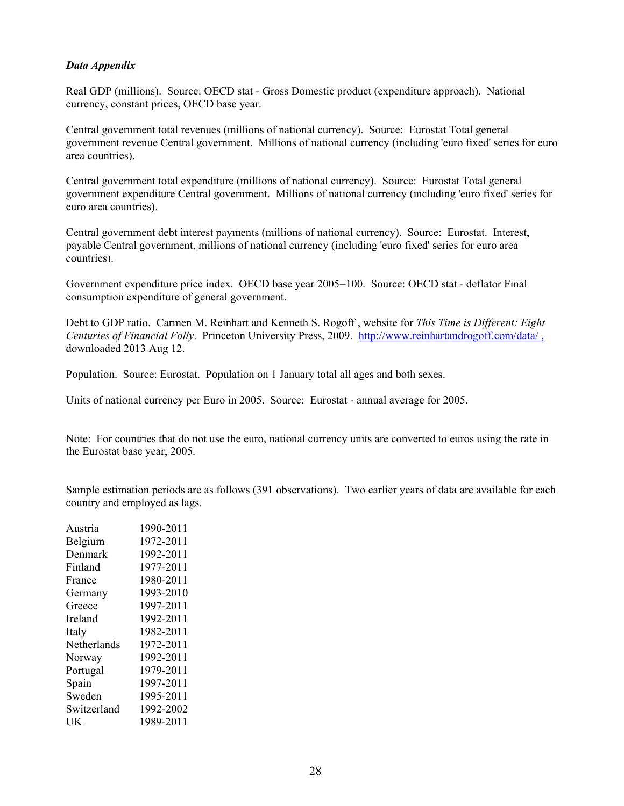#### *Data Appendix*

Real GDP (millions). Source: OECD stat - Gross Domestic product (expenditure approach). National currency, constant prices, OECD base year.

Central government total revenues (millions of national currency). Source: Eurostat Total general government revenue Central government. Millions of national currency (including 'euro fixed' series for euro area countries).

Central government total expenditure (millions of national currency). Source: Eurostat Total general government expenditure Central government. Millions of national currency (including 'euro fixed' series for euro area countries).

Central government debt interest payments (millions of national currency). Source: Eurostat. Interest, payable Central government, millions of national currency (including 'euro fixed' series for euro area countries).

Government expenditure price index. OECD base year 2005=100. Source: OECD stat - deflator Final consumption expenditure of general government.

Debt to GDP ratio. Carmen M. Reinhart and Kenneth S. Rogoff , website for *This Time is Different: Eight Centuries of Financial Folly*. Princeton University Press, 2009. http://www.reinhartandrogoff.com/data/ , downloaded 2013 Aug 12.

Population. Source: Eurostat. Population on 1 January total all ages and both sexes.

Units of national currency per Euro in 2005. Source: Eurostat - annual average for 2005.

Note: For countries that do not use the euro, national currency units are converted to euros using the rate in the Eurostat base year, 2005.

Sample estimation periods are as follows (391 observations). Two earlier years of data are available for each country and employed as lags.

| Austria     | 1990-2011 |
|-------------|-----------|
| Belgium     | 1972-2011 |
| Denmark     | 1992-2011 |
| Finland     | 1977-2011 |
| France      | 1980-2011 |
| Germany     | 1993-2010 |
| Greece      | 1997-2011 |
| Ireland     | 1992-2011 |
| Italy       | 1982-2011 |
| Netherlands | 1972-2011 |
| Norway      | 1992-2011 |
| Portugal    | 1979-2011 |
| Spain       | 1997-2011 |
| Sweden      | 1995-2011 |
| Switzerland | 1992-2002 |
| UK          | 1989-2011 |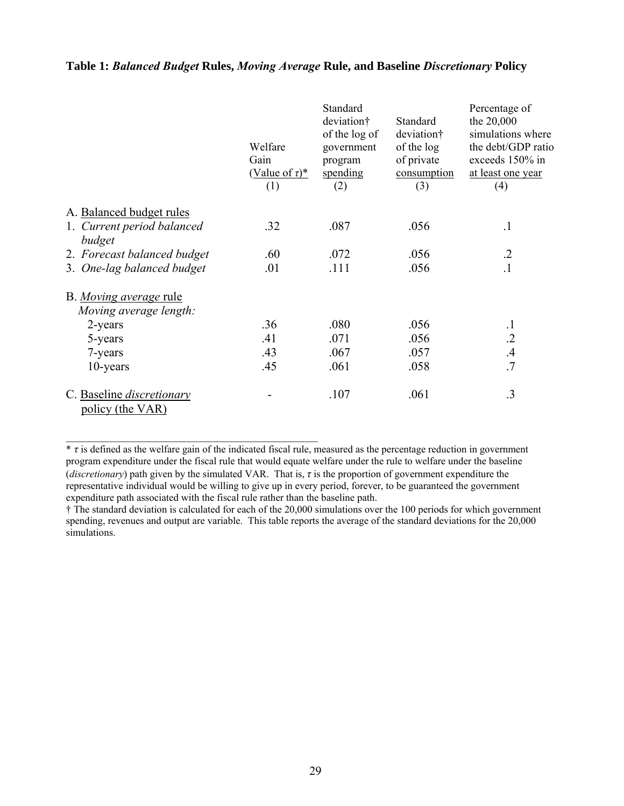#### **Table 1:** *Balanced Budget* **Rules,** *Moving Average* **Rule, and Baseline** *Discretionary* **Policy**

|                                                      | Welfare<br>Gain<br>$\frac{\text{Value of } \tau^*}{\text{Value of } \tau^*}$<br>(1) | Standard<br>deviation†<br>of the log of<br>government<br>program<br>spending<br>(2) | Standard<br>deviation†<br>of the log<br>of private<br>consumption<br>(3) | Percentage of<br>the 20,000<br>simulations where<br>the debt/GDP ratio<br>exceeds 150% in<br><u>at least one year</u><br>(4) |
|------------------------------------------------------|-------------------------------------------------------------------------------------|-------------------------------------------------------------------------------------|--------------------------------------------------------------------------|------------------------------------------------------------------------------------------------------------------------------|
| A. Balanced budget rules                             |                                                                                     |                                                                                     |                                                                          |                                                                                                                              |
| 1. Current period balanced                           | .32                                                                                 | .087                                                                                | .056                                                                     | $\cdot$                                                                                                                      |
| budget                                               |                                                                                     |                                                                                     |                                                                          |                                                                                                                              |
| 2. Forecast balanced budget                          | .60                                                                                 | .072                                                                                | .056                                                                     | $\cdot$ .2                                                                                                                   |
| 3. One-lag balanced budget                           | .01                                                                                 | .111                                                                                | .056                                                                     | $\cdot$                                                                                                                      |
| B. Moving average rule                               |                                                                                     |                                                                                     |                                                                          |                                                                                                                              |
| Moving average length:                               |                                                                                     |                                                                                     |                                                                          |                                                                                                                              |
| 2-years                                              | .36                                                                                 | .080                                                                                | .056                                                                     | $\cdot$                                                                                                                      |
| 5-years                                              | .41                                                                                 | .071                                                                                | .056                                                                     | $\cdot$                                                                                                                      |
| 7-years                                              | .43                                                                                 | .067                                                                                | .057                                                                     | .4                                                                                                                           |
| $10$ -years                                          | .45                                                                                 | .061                                                                                | .058                                                                     | .7                                                                                                                           |
| C. Baseline <i>discretionary</i><br>policy (the VAR) |                                                                                     | .107                                                                                | .061                                                                     | .3                                                                                                                           |

\* *τ* is defined as the welfare gain of the indicated fiscal rule, measured as the percentage reduction in government program expenditure under the fiscal rule that would equate welfare under the rule to welfare under the baseline (*discretionary*) path given by the simulated VAR. That is, *τ* is the proportion of government expenditure the representative individual would be willing to give up in every period, forever, to be guaranteed the government expenditure path associated with the fiscal rule rather than the baseline path.

 $\mathcal{L}_\text{max}$  and the contract of the contract of the contract of the contract of the contract of the contract of the contract of the contract of the contract of the contract of the contract of the contract of the contrac

<sup>†</sup> The standard deviation is calculated for each of the 20,000 simulations over the 100 periods for which government spending, revenues and output are variable. This table reports the average of the standard deviations for the 20,000 simulations.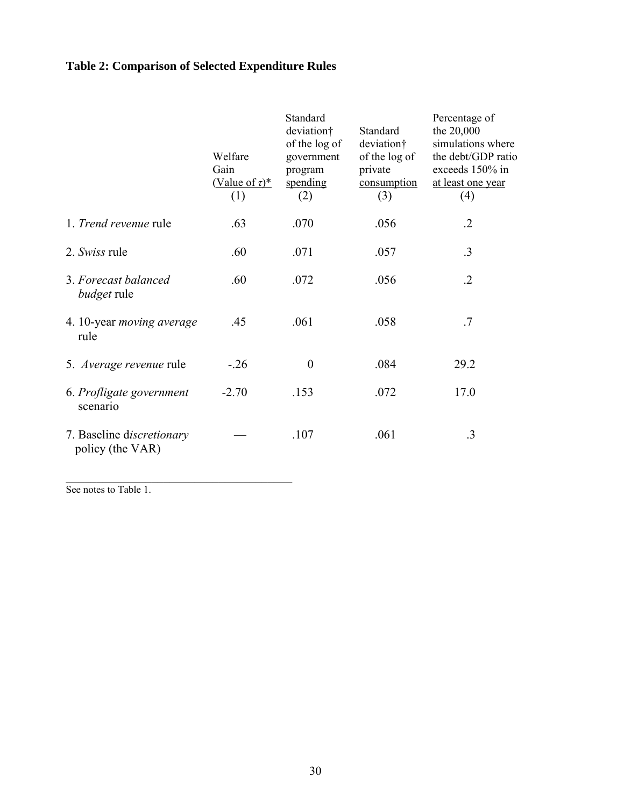## **Table 2: Comparison of Selected Expenditure Rules**

|                                               | Welfare<br>Gain<br>(Value of $\tau$ )*<br>(1) | Standard<br>deviation†<br>of the log of<br>government<br>program<br>spending<br>(2) | Standard<br>deviation†<br>of the log of<br>private<br>consumption<br>(3) | Percentage of<br>the 20,000<br>simulations where<br>the debt/GDP ratio<br>exceeds 150% in<br>at least one year<br>(4) |
|-----------------------------------------------|-----------------------------------------------|-------------------------------------------------------------------------------------|--------------------------------------------------------------------------|-----------------------------------------------------------------------------------------------------------------------|
| 1. Trend revenue rule                         | .63                                           | .070                                                                                | .056                                                                     | $\cdot$ .2                                                                                                            |
| 2. Swiss rule                                 | .60                                           | .071                                                                                | .057                                                                     | $\cdot$ 3                                                                                                             |
| 3. Forecast balanced<br><i>budget</i> rule    | .60                                           | .072                                                                                | .056                                                                     | $\cdot$ 2                                                                                                             |
| 4. 10-year moving average<br>rule             | .45                                           | .061                                                                                | .058                                                                     | .7                                                                                                                    |
| 5. Average revenue rule                       | $-.26$                                        | $\boldsymbol{0}$                                                                    | .084                                                                     | 29.2                                                                                                                  |
| 6. Profligate government<br>scenario          | $-2.70$                                       | .153                                                                                | .072                                                                     | 17.0                                                                                                                  |
| 7. Baseline discretionary<br>policy (the VAR) |                                               | .107                                                                                | .061                                                                     | $\cdot$ 3                                                                                                             |

See notes to Table 1.

\_\_\_\_\_\_\_\_\_\_\_\_\_\_\_\_\_\_\_\_\_\_\_\_\_\_\_\_\_\_\_\_\_\_\_\_\_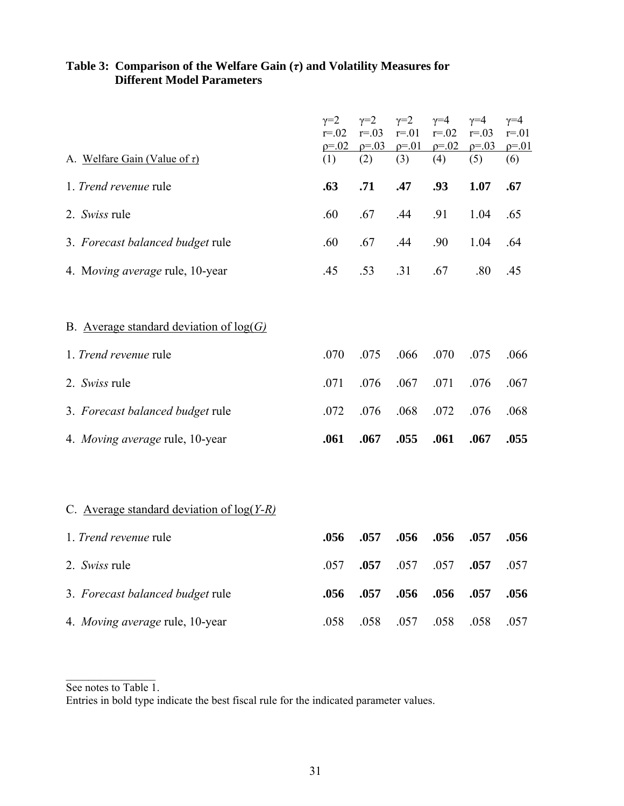|                                             | $\gamma=2$<br>$r = 0.02$<br>$p = 0.02$ | $\gamma=2$<br>$r = 0.03$<br>$p=.03$ | $\gamma=2$<br>$r = 01$<br>$p = 01$ | $\gamma = 4$<br>$r = 0.02$<br>$p = 0.02$ | $\gamma = 4$<br>$r = 0.03$<br>$p=.03$ | $\gamma = 4$<br>$r = 01$<br>$p = 01$ |
|---------------------------------------------|----------------------------------------|-------------------------------------|------------------------------------|------------------------------------------|---------------------------------------|--------------------------------------|
| A. Welfare Gain (Value of $\tau$ )          | (1)                                    | (2)                                 | (3)                                | (4)                                      | (5)                                   | (6)                                  |
| 1. Trend revenue rule                       | .63                                    | .71                                 | .47                                | .93                                      | 1.07                                  | .67                                  |
| 2. Swiss rule                               | .60                                    | .67                                 | .44                                | .91                                      | 1.04                                  | .65                                  |
| 3. Forecast balanced budget rule            | .60                                    | .67                                 | .44                                | .90                                      | 1.04                                  | .64                                  |
| 4. Moving average rule, 10-year             | .45                                    | .53                                 | .31                                | .67                                      | .80                                   | .45                                  |
|                                             |                                        |                                     |                                    |                                          |                                       |                                      |
| B. Average standard deviation of $log(G)$   |                                        |                                     |                                    |                                          |                                       |                                      |
| 1. Trend revenue rule                       | .070                                   | .075                                | .066                               | .070                                     | .075                                  | .066                                 |
| 2. Swiss rule                               | .071                                   | .076                                | .067                               | .071                                     | .076                                  | .067                                 |
| 3. Forecast balanced budget rule            | .072                                   | .076                                | .068                               | .072                                     | .076                                  | .068                                 |
| 4. Moving average rule, 10-year             | .061                                   | .067                                | .055                               | .061                                     | .067                                  | .055                                 |
|                                             |                                        |                                     |                                    |                                          |                                       |                                      |
| C. Average standard deviation of $log(Y-R)$ |                                        |                                     |                                    |                                          |                                       |                                      |
| 1. Trend revenue rule                       | .056                                   | .057                                | .056                               | .056                                     | .057                                  | .056                                 |
| 2. Swiss rule                               | .057                                   | .057                                | .057                               | .057                                     | .057                                  | .057                                 |
| 3. Forecast balanced budget rule            | .056                                   | .057                                | .056                               | .056                                     | .057                                  | .056                                 |
| 4. Moving average rule, 10-year             | .058                                   | .058                                | .057                               | .058                                     | .058                                  | .057                                 |

#### **Table 3: Comparison of the Welfare Gain (***τ***) and Volatility Measures for Different Model Parameters**

 $\mathcal{L}_\text{max}$ See notes to Table 1.

Entries in bold type indicate the best fiscal rule for the indicated parameter values.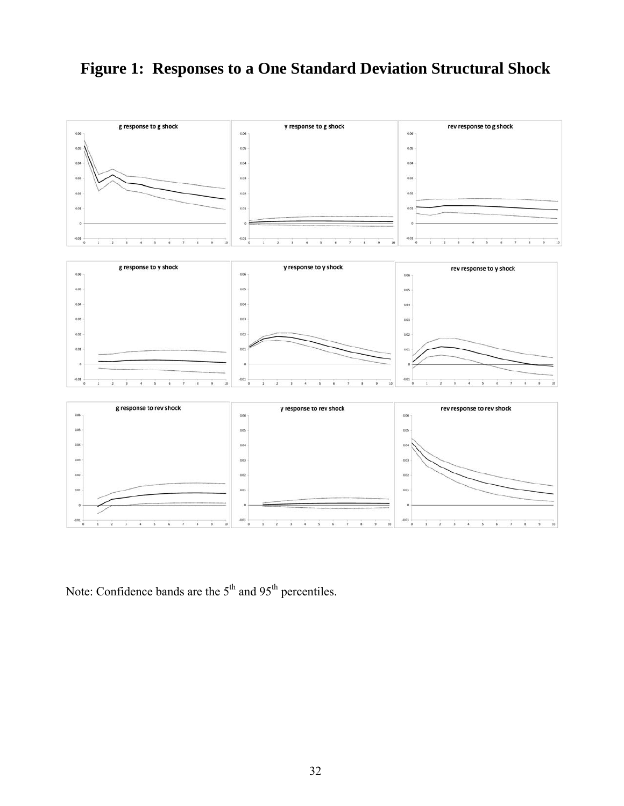

# **Figure 1: Responses to a One Standard Deviation Structural Shock**

Note: Confidence bands are the  $5<sup>th</sup>$  and  $95<sup>th</sup>$  percentiles.